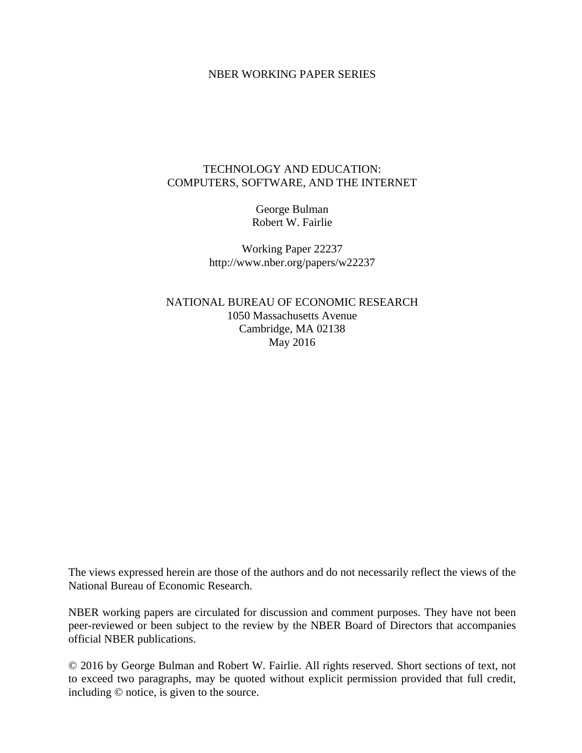# NBER WORKING PAPER SERIES

# TECHNOLOGY AND EDUCATION: COMPUTERS, SOFTWARE, AND THE INTERNET

George Bulman Robert W. Fairlie

Working Paper 22237 http://www.nber.org/papers/w22237

NATIONAL BUREAU OF ECONOMIC RESEARCH 1050 Massachusetts Avenue Cambridge, MA 02138 May 2016

The views expressed herein are those of the authors and do not necessarily reflect the views of the National Bureau of Economic Research.

NBER working papers are circulated for discussion and comment purposes. They have not been peer-reviewed or been subject to the review by the NBER Board of Directors that accompanies official NBER publications.

© 2016 by George Bulman and Robert W. Fairlie. All rights reserved. Short sections of text, not to exceed two paragraphs, may be quoted without explicit permission provided that full credit, including © notice, is given to the source.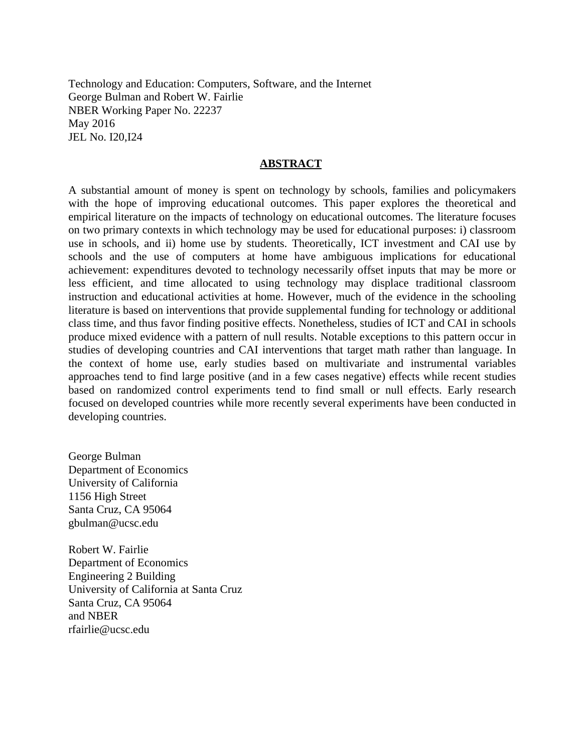Technology and Education: Computers, Software, and the Internet George Bulman and Robert W. Fairlie NBER Working Paper No. 22237 May 2016 JEL No. I20,I24

#### **ABSTRACT**

A substantial amount of money is spent on technology by schools, families and policymakers with the hope of improving educational outcomes. This paper explores the theoretical and empirical literature on the impacts of technology on educational outcomes. The literature focuses on two primary contexts in which technology may be used for educational purposes: i) classroom use in schools, and ii) home use by students. Theoretically, ICT investment and CAI use by schools and the use of computers at home have ambiguous implications for educational achievement: expenditures devoted to technology necessarily offset inputs that may be more or less efficient, and time allocated to using technology may displace traditional classroom instruction and educational activities at home. However, much of the evidence in the schooling literature is based on interventions that provide supplemental funding for technology or additional class time, and thus favor finding positive effects. Nonetheless, studies of ICT and CAI in schools produce mixed evidence with a pattern of null results. Notable exceptions to this pattern occur in studies of developing countries and CAI interventions that target math rather than language. In the context of home use, early studies based on multivariate and instrumental variables approaches tend to find large positive (and in a few cases negative) effects while recent studies based on randomized control experiments tend to find small or null effects. Early research focused on developed countries while more recently several experiments have been conducted in developing countries.

George Bulman Department of Economics University of California 1156 High Street Santa Cruz, CA 95064 gbulman@ucsc.edu

Robert W. Fairlie Department of Economics Engineering 2 Building University of California at Santa Cruz Santa Cruz, CA 95064 and NBER rfairlie@ucsc.edu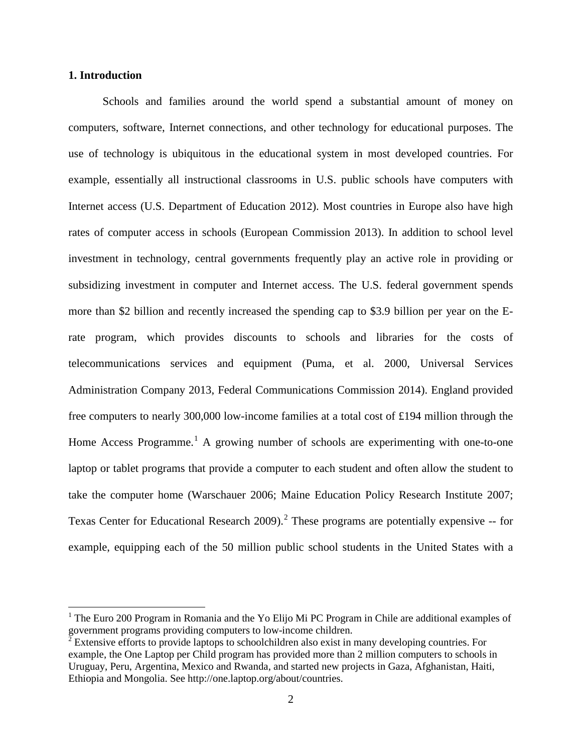## **1. Introduction**

l

Schools and families around the world spend a substantial amount of money on computers, software, Internet connections, and other technology for educational purposes. The use of technology is ubiquitous in the educational system in most developed countries. For example, essentially all instructional classrooms in U.S. public schools have computers with Internet access (U.S. Department of Education 2012). Most countries in Europe also have high rates of computer access in schools (European Commission 2013). In addition to school level investment in technology, central governments frequently play an active role in providing or subsidizing investment in computer and Internet access. The U.S. federal government spends more than \$2 billion and recently increased the spending cap to \$3.9 billion per year on the Erate program, which provides discounts to schools and libraries for the costs of telecommunications services and equipment (Puma, et al. 2000, Universal Services Administration Company 2013, Federal Communications Commission 2014). England provided free computers to nearly 300,000 low-income families at a total cost of £194 million through the Home Access Programme.<sup>[1](#page-2-0)</sup> A growing number of schools are experimenting with one-to-one laptop or tablet programs that provide a computer to each student and often allow the student to take the computer home (Warschauer 2006; Maine Education Policy Research Institute 2007; Texas Center for Educational Research [2](#page-2-1)009).<sup>2</sup> These programs are potentially expensive -- for example, equipping each of the 50 million public school students in the United States with a

<span id="page-2-0"></span><sup>&</sup>lt;sup>1</sup> The Euro 200 Program in Romania and the Yo Elijo Mi PC Program in Chile are additional examples of government programs providing computers to low-income children.

<span id="page-2-1"></span> $^2$  Extensive efforts to provide laptops to schoolchildren also exist in many developing countries. For example, the One Laptop per Child program has provided more than 2 million computers to schools in Uruguay, Peru, Argentina, Mexico and Rwanda, and started new projects in Gaza, Afghanistan, Haiti, Ethiopia and Mongolia. See http://one.laptop.org/about/countries.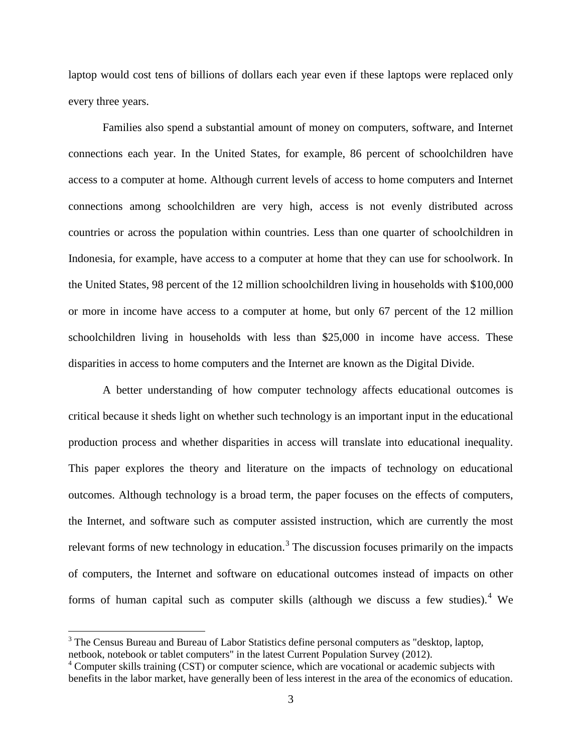laptop would cost tens of billions of dollars each year even if these laptops were replaced only every three years.

Families also spend a substantial amount of money on computers, software, and Internet connections each year. In the United States, for example, 86 percent of schoolchildren have access to a computer at home. Although current levels of access to home computers and Internet connections among schoolchildren are very high, access is not evenly distributed across countries or across the population within countries. Less than one quarter of schoolchildren in Indonesia, for example, have access to a computer at home that they can use for schoolwork. In the United States, 98 percent of the 12 million schoolchildren living in households with \$100,000 or more in income have access to a computer at home, but only 67 percent of the 12 million schoolchildren living in households with less than \$25,000 in income have access. These disparities in access to home computers and the Internet are known as the Digital Divide.

A better understanding of how computer technology affects educational outcomes is critical because it sheds light on whether such technology is an important input in the educational production process and whether disparities in access will translate into educational inequality. This paper explores the theory and literature on the impacts of technology on educational outcomes. Although technology is a broad term, the paper focuses on the effects of computers, the Internet, and software such as computer assisted instruction, which are currently the most relevant forms of new technology in education.<sup>[3](#page-3-0)</sup> The discussion focuses primarily on the impacts of computers, the Internet and software on educational outcomes instead of impacts on other forms of human capital such as computer skills (although we discuss a few studies).<sup>[4](#page-3-1)</sup> We

l

<span id="page-3-0"></span><sup>&</sup>lt;sup>3</sup> The Census Bureau and Bureau of Labor Statistics define personal computers as "desktop, laptop, netbook, notebook or tablet computers" in the latest Current Population Survey (2012).

<span id="page-3-1"></span> $4$  Computer skills training (CST) or computer science, which are vocational or academic subjects with benefits in the labor market, have generally been of less interest in the area of the economics of education.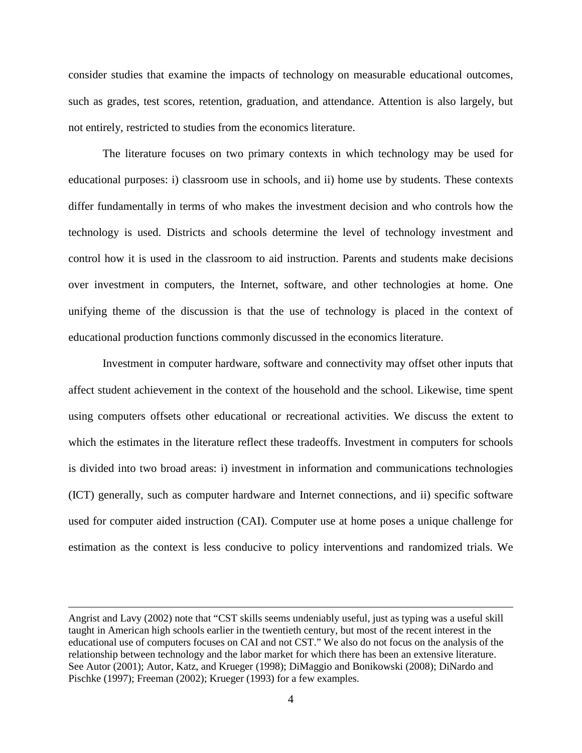consider studies that examine the impacts of technology on measurable educational outcomes, such as grades, test scores, retention, graduation, and attendance. Attention is also largely, but not entirely, restricted to studies from the economics literature.

The literature focuses on two primary contexts in which technology may be used for educational purposes: i) classroom use in schools, and ii) home use by students. These contexts differ fundamentally in terms of who makes the investment decision and who controls how the technology is used. Districts and schools determine the level of technology investment and control how it is used in the classroom to aid instruction. Parents and students make decisions over investment in computers, the Internet, software, and other technologies at home. One unifying theme of the discussion is that the use of technology is placed in the context of educational production functions commonly discussed in the economics literature.

Investment in computer hardware, software and connectivity may offset other inputs that affect student achievement in the context of the household and the school. Likewise, time spent using computers offsets other educational or recreational activities. We discuss the extent to which the estimates in the literature reflect these tradeoffs. Investment in computers for schools is divided into two broad areas: i) investment in information and communications technologies (ICT) generally, such as computer hardware and Internet connections, and ii) specific software used for computer aided instruction (CAI). Computer use at home poses a unique challenge for estimation as the context is less conducive to policy interventions and randomized trials. We

l

Angrist and Lavy (2002) note that "CST skills seems undeniably useful, just as typing was a useful skill taught in American high schools earlier in the twentieth century, but most of the recent interest in the educational use of computers focuses on CAI and not CST." We also do not focus on the analysis of the relationship between technology and the labor market for which there has been an extensive literature. See Autor (2001); Autor, Katz, and Krueger (1998); DiMaggio and Bonikowski (2008); DiNardo and Pischke (1997); Freeman (2002); Krueger (1993) for a few examples.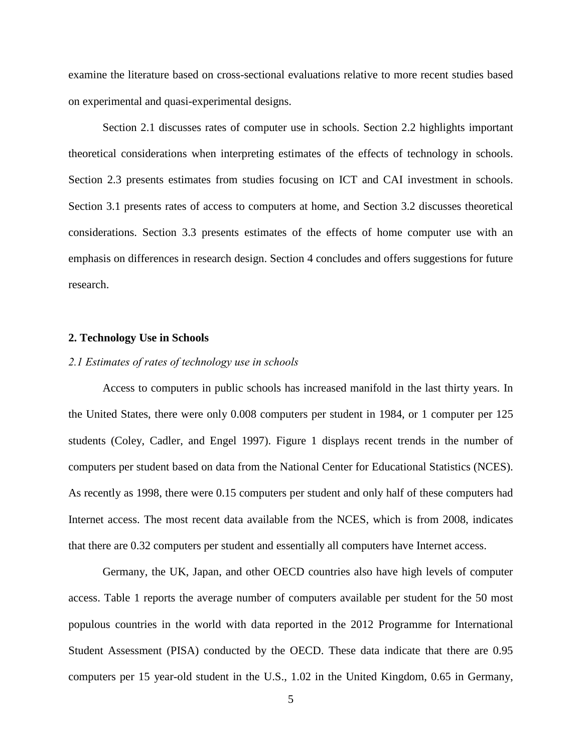examine the literature based on cross-sectional evaluations relative to more recent studies based on experimental and quasi-experimental designs.

Section 2.1 discusses rates of computer use in schools. Section 2.2 highlights important theoretical considerations when interpreting estimates of the effects of technology in schools. Section 2.3 presents estimates from studies focusing on ICT and CAI investment in schools. Section 3.1 presents rates of access to computers at home, and Section 3.2 discusses theoretical considerations. Section 3.3 presents estimates of the effects of home computer use with an emphasis on differences in research design. Section 4 concludes and offers suggestions for future research.

#### **2. Technology Use in Schools**

#### *2.1 Estimates of rates of technology use in schools*

Access to computers in public schools has increased manifold in the last thirty years. In the United States, there were only 0.008 computers per student in 1984, or 1 computer per 125 students (Coley, Cadler, and Engel 1997). Figure 1 displays recent trends in the number of computers per student based on data from the National Center for Educational Statistics (NCES). As recently as 1998, there were 0.15 computers per student and only half of these computers had Internet access. The most recent data available from the NCES, which is from 2008, indicates that there are 0.32 computers per student and essentially all computers have Internet access.

Germany, the UK, Japan, and other OECD countries also have high levels of computer access. Table 1 reports the average number of computers available per student for the 50 most populous countries in the world with data reported in the 2012 Programme for International Student Assessment (PISA) conducted by the OECD. These data indicate that there are 0.95 computers per 15 year-old student in the U.S., 1.02 in the United Kingdom, 0.65 in Germany,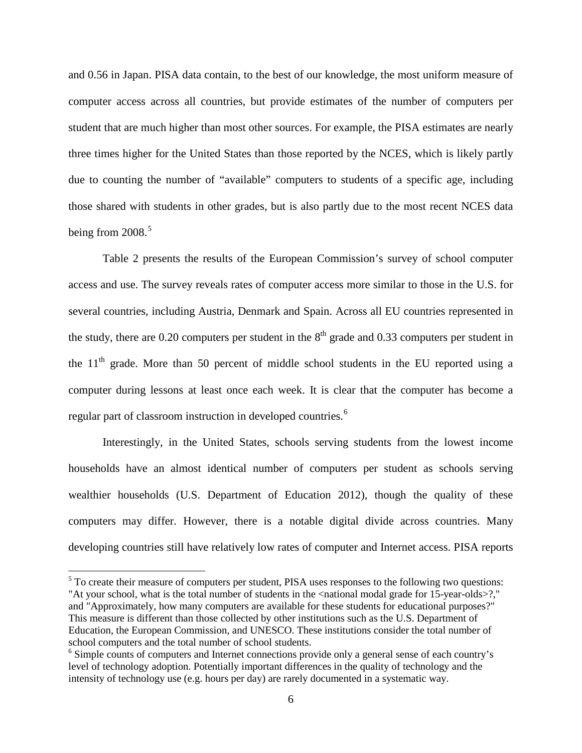and 0.56 in Japan. PISA data contain, to the best of our knowledge, the most uniform measure of computer access across all countries, but provide estimates of the number of computers per student that are much higher than most other sources. For example, the PISA estimates are nearly three times higher for the United States than those reported by the NCES, which is likely partly due to counting the number of "available" computers to students of a specific age, including those shared with students in other grades, but is also partly due to the most recent NCES data being from  $2008.<sup>5</sup>$  $2008.<sup>5</sup>$  $2008.<sup>5</sup>$ 

Table 2 presents the results of the European Commission's survey of school computer access and use. The survey reveals rates of computer access more similar to those in the U.S. for several countries, including Austria, Denmark and Spain. Across all EU countries represented in the study, there are  $0.20$  computers per student in the  $8<sup>th</sup>$  grade and  $0.33$  computers per student in the  $11<sup>th</sup>$  grade. More than 50 percent of middle school students in the EU reported using a computer during lessons at least once each week. It is clear that the computer has become a regular part of classroom instruction in developed countries.<sup>[6](#page-6-1)</sup>

Interestingly, in the United States, schools serving students from the lowest income households have an almost identical number of computers per student as schools serving wealthier households (U.S. Department of Education 2012), though the quality of these computers may differ. However, there is a notable digital divide across countries. Many developing countries still have relatively low rates of computer and Internet access. PISA reports

 $\overline{a}$ 

<span id="page-6-0"></span><sup>&</sup>lt;sup>5</sup> To create their measure of computers per student, PISA uses responses to the following two questions: "At your school, what is the total number of students in the <national modal grade for 15-year-olds>?," and "Approximately, how many computers are available for these students for educational purposes?" This measure is different than those collected by other institutions such as the U.S. Department of Education, the European Commission, and UNESCO. These institutions consider the total number of school computers and the total number of school students.

<span id="page-6-1"></span><sup>&</sup>lt;sup>6</sup> Simple counts of computers and Internet connections provide only a general sense of each country's level of technology adoption. Potentially important differences in the quality of technology and the intensity of technology use (e.g. hours per day) are rarely documented in a systematic way.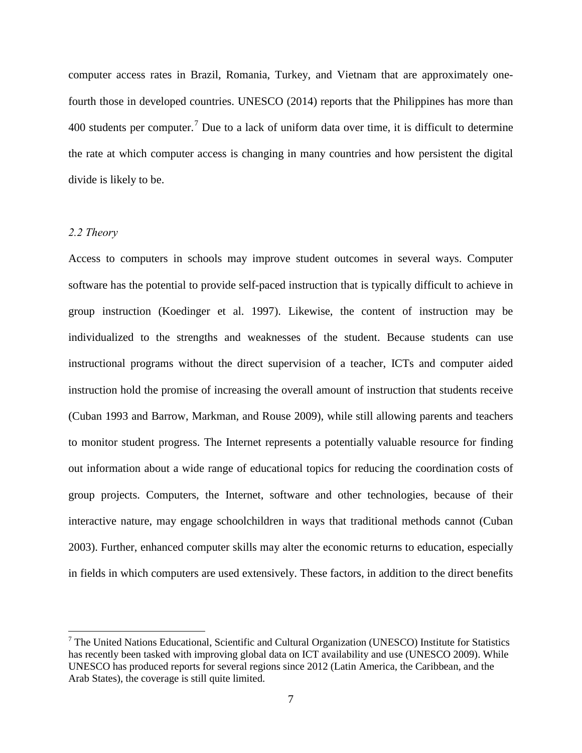computer access rates in Brazil, Romania, Turkey, and Vietnam that are approximately onefourth those in developed countries. UNESCO (2014) reports that the Philippines has more than 400 students per computer.<sup>[7](#page-7-0)</sup> Due to a lack of uniform data over time, it is difficult to determine the rate at which computer access is changing in many countries and how persistent the digital divide is likely to be.

## *2.2 Theory*

l

Access to computers in schools may improve student outcomes in several ways. Computer software has the potential to provide self-paced instruction that is typically difficult to achieve in group instruction (Koedinger et al. 1997). Likewise, the content of instruction may be individualized to the strengths and weaknesses of the student. Because students can use instructional programs without the direct supervision of a teacher, ICTs and computer aided instruction hold the promise of increasing the overall amount of instruction that students receive (Cuban 1993 and Barrow, Markman, and Rouse 2009), while still allowing parents and teachers to monitor student progress. The Internet represents a potentially valuable resource for finding out information about a wide range of educational topics for reducing the coordination costs of group projects. Computers, the Internet, software and other technologies, because of their interactive nature, may engage schoolchildren in ways that traditional methods cannot (Cuban 2003). Further, enhanced computer skills may alter the economic returns to education, especially in fields in which computers are used extensively. These factors, in addition to the direct benefits

<span id="page-7-0"></span><sup>&</sup>lt;sup>7</sup> The United Nations Educational, Scientific and Cultural Organization (UNESCO) Institute for Statistics has recently been tasked with improving global data on ICT availability and use (UNESCO 2009). While UNESCO has produced reports for several regions since 2012 (Latin America, the Caribbean, and the Arab States), the coverage is still quite limited.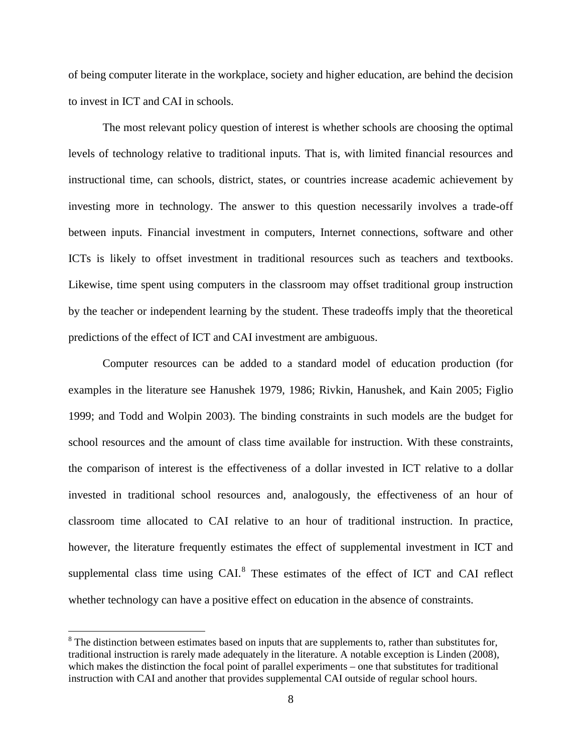of being computer literate in the workplace, society and higher education, are behind the decision to invest in ICT and CAI in schools.

The most relevant policy question of interest is whether schools are choosing the optimal levels of technology relative to traditional inputs. That is, with limited financial resources and instructional time, can schools, district, states, or countries increase academic achievement by investing more in technology. The answer to this question necessarily involves a trade-off between inputs. Financial investment in computers, Internet connections, software and other ICTs is likely to offset investment in traditional resources such as teachers and textbooks. Likewise, time spent using computers in the classroom may offset traditional group instruction by the teacher or independent learning by the student. These tradeoffs imply that the theoretical predictions of the effect of ICT and CAI investment are ambiguous.

Computer resources can be added to a standard model of education production (for examples in the literature see Hanushek 1979, 1986; Rivkin, Hanushek, and Kain 2005; Figlio 1999; and Todd and Wolpin 2003). The binding constraints in such models are the budget for school resources and the amount of class time available for instruction. With these constraints, the comparison of interest is the effectiveness of a dollar invested in ICT relative to a dollar invested in traditional school resources and, analogously, the effectiveness of an hour of classroom time allocated to CAI relative to an hour of traditional instruction. In practice, however, the literature frequently estimates the effect of supplemental investment in ICT and supplemental class time using CAI.<sup>[8](#page-8-0)</sup> These estimates of the effect of ICT and CAI reflect whether technology can have a positive effect on education in the absence of constraints.

l

<span id="page-8-0"></span><sup>&</sup>lt;sup>8</sup> The distinction between estimates based on inputs that are supplements to, rather than substitutes for, traditional instruction is rarely made adequately in the literature. A notable exception is Linden (2008), which makes the distinction the focal point of parallel experiments – one that substitutes for traditional instruction with CAI and another that provides supplemental CAI outside of regular school hours.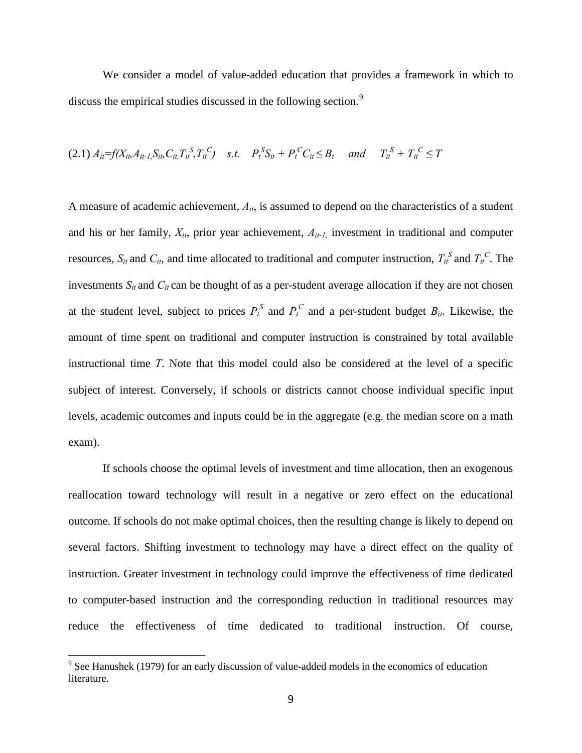We consider a model of value-added education that provides a framework in which to discuss the empirical studies discussed in the following section.<sup>[9](#page-9-0)</sup>

$$
(2.1) A_{it} = f(X_{it}, A_{it-1}, S_{it}, C_{it}, T_{it}^S, T_{it}^C) \quad s.t. \quad P_t^S S_{it} + P_t^C C_{it} \leq B_t \quad and \quad T_{it}^S + T_{it}^C \leq T
$$

A measure of academic achievement, *Ait*, is assumed to depend on the characteristics of a student and his or her family,  $X_{it}$ , prior year achievement,  $A_{it-l}$ , investment in traditional and computer resources,  $S_{it}$  and  $C_{it}$ , and time allocated to traditional and computer instruction,  $T_{it}^S$  and  $T_{it}^C$ . The investments  $S_{it}$  and  $C_{it}$  can be thought of as a per-student average allocation if they are not chosen at the student level, subject to prices  $P_t^S$  and  $P_t^C$  and a per-student budget  $B_{it}$ . Likewise, the amount of time spent on traditional and computer instruction is constrained by total available instructional time *T*. Note that this model could also be considered at the level of a specific subject of interest. Conversely, if schools or districts cannot choose individual specific input levels, academic outcomes and inputs could be in the aggregate (e.g. the median score on a math exam).

If schools choose the optimal levels of investment and time allocation, then an exogenous reallocation toward technology will result in a negative or zero effect on the educational outcome. If schools do not make optimal choices, then the resulting change is likely to depend on several factors. Shifting investment to technology may have a direct effect on the quality of instruction. Greater investment in technology could improve the effectiveness of time dedicated to computer-based instruction and the corresponding reduction in traditional resources may reduce the effectiveness of time dedicated to traditional instruction. Of course,

<span id="page-9-0"></span><sup>&</sup>lt;sup>9</sup> See Hanushek (1979) for an early discussion of value-added models in the economics of education literature.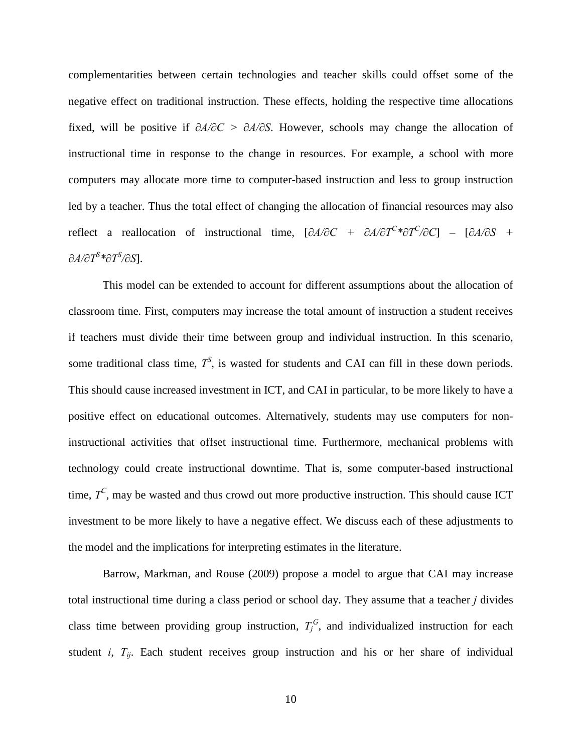complementarities between certain technologies and teacher skills could offset some of the negative effect on traditional instruction. These effects, holding the respective time allocations fixed, will be positive if *∂A/∂C > ∂A/∂S*. However, schools may change the allocation of instructional time in response to the change in resources. For example, a school with more computers may allocate more time to computer-based instruction and less to group instruction led by a teacher. Thus the total effect of changing the allocation of financial resources may also reflect a reallocation of instructional time, [*∂A/∂C + ∂A/∂T<sup>C</sup> \*∂T<sup>C</sup> /∂C*] – [*∂A/∂S + ∂A/∂T<sup>S</sup> \*∂T<sup>S</sup> /∂S*].

This model can be extended to account for different assumptions about the allocation of classroom time. First, computers may increase the total amount of instruction a student receives if teachers must divide their time between group and individual instruction. In this scenario, some traditional class time,  $T^S$ , is wasted for students and CAI can fill in these down periods. This should cause increased investment in ICT, and CAI in particular, to be more likely to have a positive effect on educational outcomes. Alternatively, students may use computers for noninstructional activities that offset instructional time. Furthermore, mechanical problems with technology could create instructional downtime. That is, some computer-based instructional time,  $T^C$ , may be wasted and thus crowd out more productive instruction. This should cause ICT investment to be more likely to have a negative effect. We discuss each of these adjustments to the model and the implications for interpreting estimates in the literature.

Barrow, Markman, and Rouse (2009) propose a model to argue that CAI may increase total instructional time during a class period or school day. They assume that a teacher *j* divides class time between providing group instruction,  $T_j^G$ , and individualized instruction for each student *i*,  $T_{ij}$ . Each student receives group instruction and his or her share of individual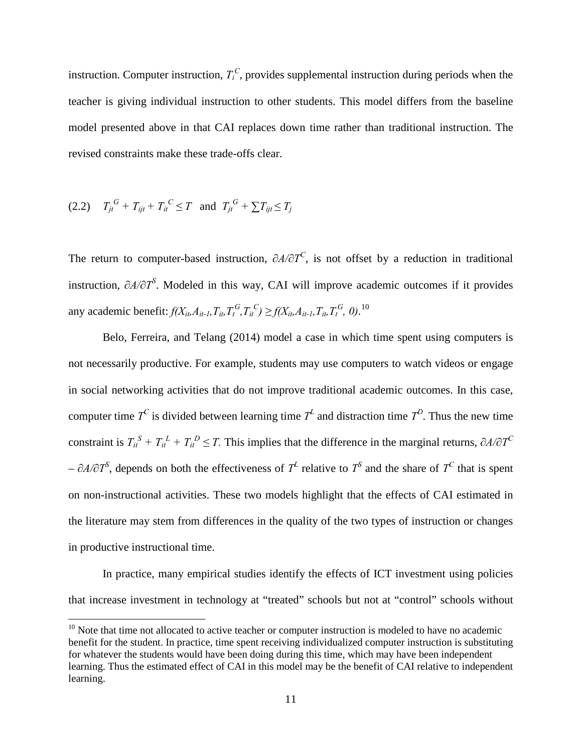instruction. Computer instruction,  $T_i^C$ , provides supplemental instruction during periods when the teacher is giving individual instruction to other students. This model differs from the baseline model presented above in that CAI replaces down time rather than traditional instruction. The revised constraints make these trade-offs clear.

(2.2) 
$$
T_{jt}^G + T_{ijt} + T_{it}^C \leq T
$$
 and  $T_{jt}^G + \sum T_{ijt} \leq T_j$ 

 $\overline{a}$ 

The return to computer-based instruction, *∂A/∂T<sup>C</sup>* , is not offset by a reduction in traditional instruction, *∂A/∂T<sup>S</sup>* . Modeled in this way, CAI will improve academic outcomes if it provides any academic benefit:  $f(X_{it}, A_{it-l}, T_{it}, T_t^G, T_{it}^C) \ge f(X_{it}, A_{it-l}, T_{it}, T_t^G, 0)$ .<sup>[10](#page-11-0)</sup>

Belo, Ferreira, and Telang (2014) model a case in which time spent using computers is not necessarily productive. For example, students may use computers to watch videos or engage in social networking activities that do not improve traditional academic outcomes. In this case, computer time  $T^C$  is divided between learning time  $T^L$  and distraction time  $T^D$ . Thus the new time constraint is  $T_{it}^{S} + T_{it}^{L} + T_{it}^{D} \leq T$ . This implies that the difference in the marginal returns,  $\partial A/\partial T^{C}$ – *∂A/∂T<sup>S</sup>* , depends on both the effectiveness of *T<sup>L</sup>* relative to *T<sup>S</sup>* and the share of *T<sup>C</sup>* that is spent on non-instructional activities. These two models highlight that the effects of CAI estimated in the literature may stem from differences in the quality of the two types of instruction or changes in productive instructional time.

In practice, many empirical studies identify the effects of ICT investment using policies that increase investment in technology at "treated" schools but not at "control" schools without

<span id="page-11-0"></span> $10$  Note that time not allocated to active teacher or computer instruction is modeled to have no academic benefit for the student. In practice, time spent receiving individualized computer instruction is substituting for whatever the students would have been doing during this time, which may have been independent learning. Thus the estimated effect of CAI in this model may be the benefit of CAI relative to independent learning.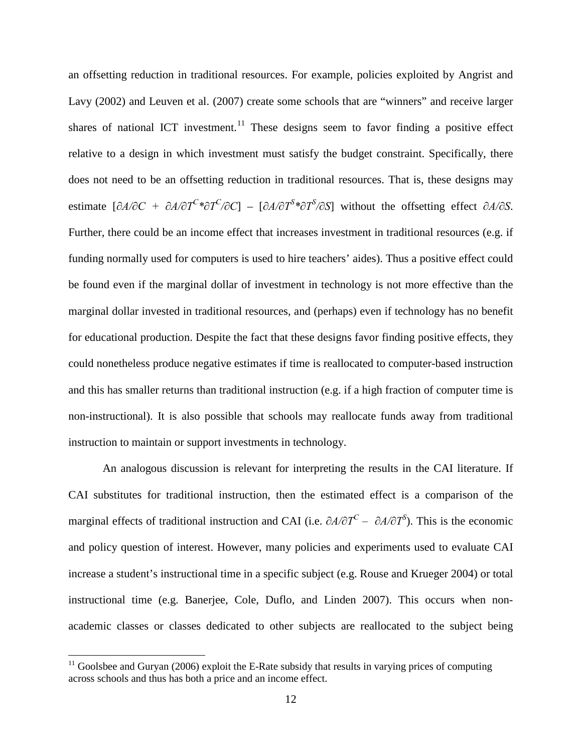an offsetting reduction in traditional resources. For example, policies exploited by Angrist and Lavy (2002) and Leuven et al. (2007) create some schools that are "winners" and receive larger shares of national ICT investment.<sup>[11](#page-12-0)</sup> These designs seem to favor finding a positive effect relative to a design in which investment must satisfy the budget constraint. Specifically, there does not need to be an offsetting reduction in traditional resources. That is, these designs may estimate [*∂A/∂C + ∂A/∂T<sup>C</sup> \*∂T<sup>C</sup> /∂C*] – [*∂A/∂T<sup>S</sup> \*∂T<sup>S</sup> /∂S*] without the offsetting effect *∂A/∂S*. Further, there could be an income effect that increases investment in traditional resources (e.g. if funding normally used for computers is used to hire teachers' aides). Thus a positive effect could be found even if the marginal dollar of investment in technology is not more effective than the marginal dollar invested in traditional resources, and (perhaps) even if technology has no benefit for educational production. Despite the fact that these designs favor finding positive effects, they could nonetheless produce negative estimates if time is reallocated to computer-based instruction and this has smaller returns than traditional instruction (e.g. if a high fraction of computer time is non-instructional). It is also possible that schools may reallocate funds away from traditional instruction to maintain or support investments in technology.

An analogous discussion is relevant for interpreting the results in the CAI literature. If CAI substitutes for traditional instruction, then the estimated effect is a comparison of the marginal effects of traditional instruction and CAI (i.e.  $\partial A/\partial T^C$  –  $\partial A/\partial T^S$ ). This is the economic and policy question of interest. However, many policies and experiments used to evaluate CAI increase a student's instructional time in a specific subject (e.g. Rouse and Krueger 2004) or total instructional time (e.g. Banerjee, Cole, Duflo, and Linden 2007). This occurs when nonacademic classes or classes dedicated to other subjects are reallocated to the subject being

 $\overline{a}$ 

<span id="page-12-0"></span> $11$  Goolsbee and Guryan (2006) exploit the E-Rate subsidy that results in varying prices of computing across schools and thus has both a price and an income effect.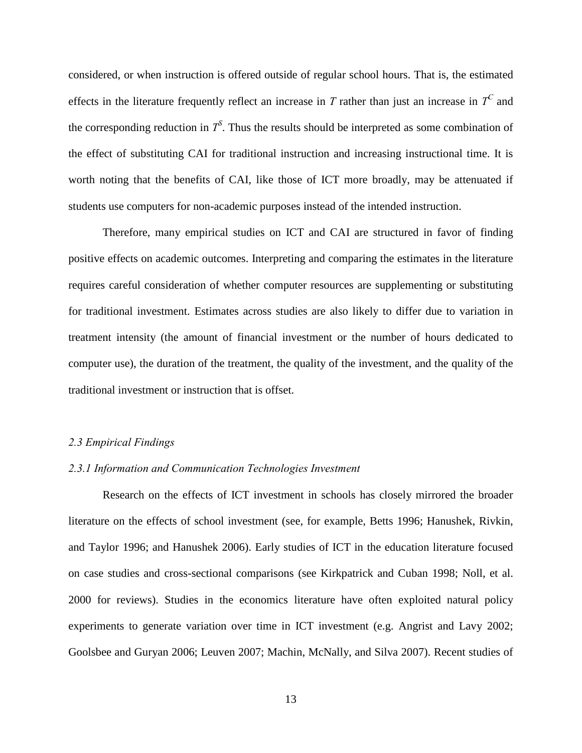considered, or when instruction is offered outside of regular school hours. That is, the estimated effects in the literature frequently reflect an increase in *T* rather than just an increase in *T<sup>C</sup>* and the corresponding reduction in  $T^S$ . Thus the results should be interpreted as some combination of the effect of substituting CAI for traditional instruction and increasing instructional time. It is worth noting that the benefits of CAI, like those of ICT more broadly, may be attenuated if students use computers for non-academic purposes instead of the intended instruction.

Therefore, many empirical studies on ICT and CAI are structured in favor of finding positive effects on academic outcomes. Interpreting and comparing the estimates in the literature requires careful consideration of whether computer resources are supplementing or substituting for traditional investment. Estimates across studies are also likely to differ due to variation in treatment intensity (the amount of financial investment or the number of hours dedicated to computer use), the duration of the treatment, the quality of the investment, and the quality of the traditional investment or instruction that is offset.

## *2.3 Empirical Findings*

## *2.3.1 Information and Communication Technologies Investment*

Research on the effects of ICT investment in schools has closely mirrored the broader literature on the effects of school investment (see, for example, Betts 1996; Hanushek, Rivkin, and Taylor 1996; and Hanushek 2006). Early studies of ICT in the education literature focused on case studies and cross-sectional comparisons (see Kirkpatrick and Cuban 1998; Noll, et al. 2000 for reviews). Studies in the economics literature have often exploited natural policy experiments to generate variation over time in ICT investment (e.g. Angrist and Lavy 2002; Goolsbee and Guryan 2006; Leuven 2007; Machin, McNally, and Silva 2007). Recent studies of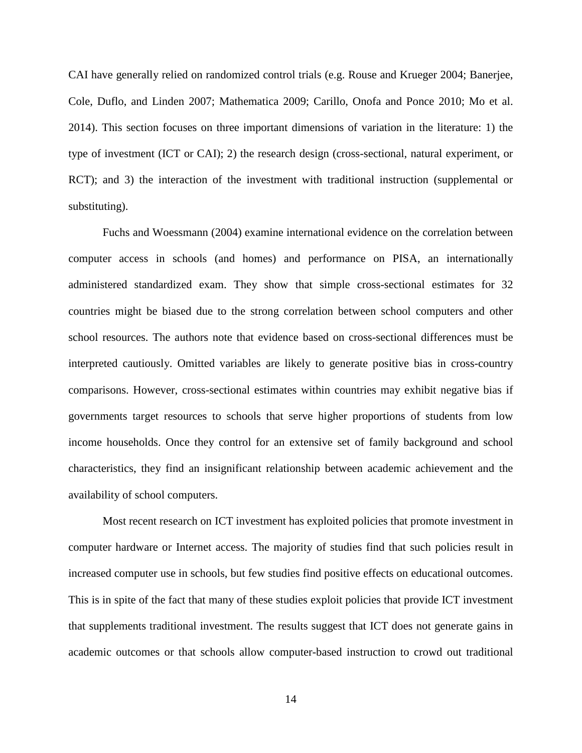CAI have generally relied on randomized control trials (e.g. Rouse and Krueger 2004; Banerjee, Cole, Duflo, and Linden 2007; Mathematica 2009; Carillo, Onofa and Ponce 2010; Mo et al. 2014). This section focuses on three important dimensions of variation in the literature: 1) the type of investment (ICT or CAI); 2) the research design (cross-sectional, natural experiment, or RCT); and 3) the interaction of the investment with traditional instruction (supplemental or substituting).

Fuchs and Woessmann (2004) examine international evidence on the correlation between computer access in schools (and homes) and performance on PISA, an internationally administered standardized exam. They show that simple cross-sectional estimates for 32 countries might be biased due to the strong correlation between school computers and other school resources. The authors note that evidence based on cross-sectional differences must be interpreted cautiously. Omitted variables are likely to generate positive bias in cross-country comparisons. However, cross-sectional estimates within countries may exhibit negative bias if governments target resources to schools that serve higher proportions of students from low income households. Once they control for an extensive set of family background and school characteristics, they find an insignificant relationship between academic achievement and the availability of school computers.

Most recent research on ICT investment has exploited policies that promote investment in computer hardware or Internet access. The majority of studies find that such policies result in increased computer use in schools, but few studies find positive effects on educational outcomes. This is in spite of the fact that many of these studies exploit policies that provide ICT investment that supplements traditional investment. The results suggest that ICT does not generate gains in academic outcomes or that schools allow computer-based instruction to crowd out traditional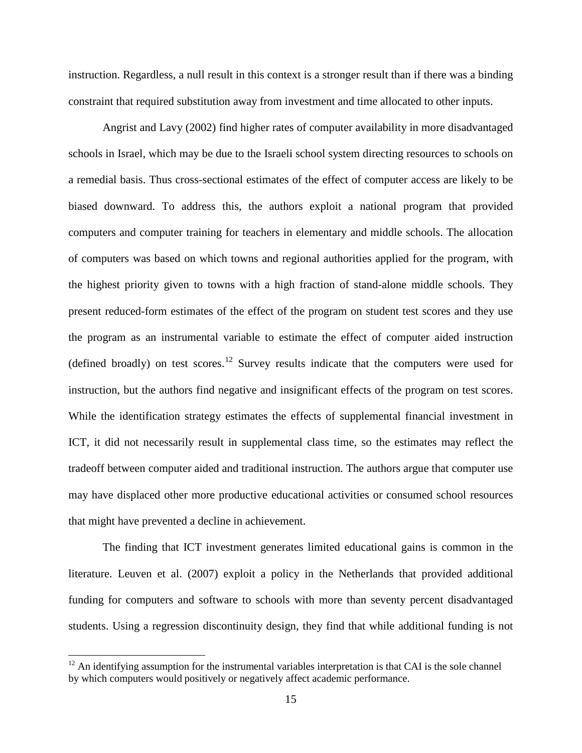instruction. Regardless, a null result in this context is a stronger result than if there was a binding constraint that required substitution away from investment and time allocated to other inputs.

Angrist and Lavy (2002) find higher rates of computer availability in more disadvantaged schools in Israel, which may be due to the Israeli school system directing resources to schools on a remedial basis. Thus cross-sectional estimates of the effect of computer access are likely to be biased downward. To address this, the authors exploit a national program that provided computers and computer training for teachers in elementary and middle schools. The allocation of computers was based on which towns and regional authorities applied for the program, with the highest priority given to towns with a high fraction of stand-alone middle schools. They present reduced-form estimates of the effect of the program on student test scores and they use the program as an instrumental variable to estimate the effect of computer aided instruction (defined broadly) on test scores.<sup>[12](#page-15-0)</sup> Survey results indicate that the computers were used for instruction, but the authors find negative and insignificant effects of the program on test scores. While the identification strategy estimates the effects of supplemental financial investment in ICT, it did not necessarily result in supplemental class time, so the estimates may reflect the tradeoff between computer aided and traditional instruction. The authors argue that computer use may have displaced other more productive educational activities or consumed school resources that might have prevented a decline in achievement.

The finding that ICT investment generates limited educational gains is common in the literature. Leuven et al. (2007) exploit a policy in the Netherlands that provided additional funding for computers and software to schools with more than seventy percent disadvantaged students. Using a regression discontinuity design, they find that while additional funding is not

 $\overline{a}$ 

<span id="page-15-0"></span> $12$  An identifying assumption for the instrumental variables interpretation is that CAI is the sole channel by which computers would positively or negatively affect academic performance.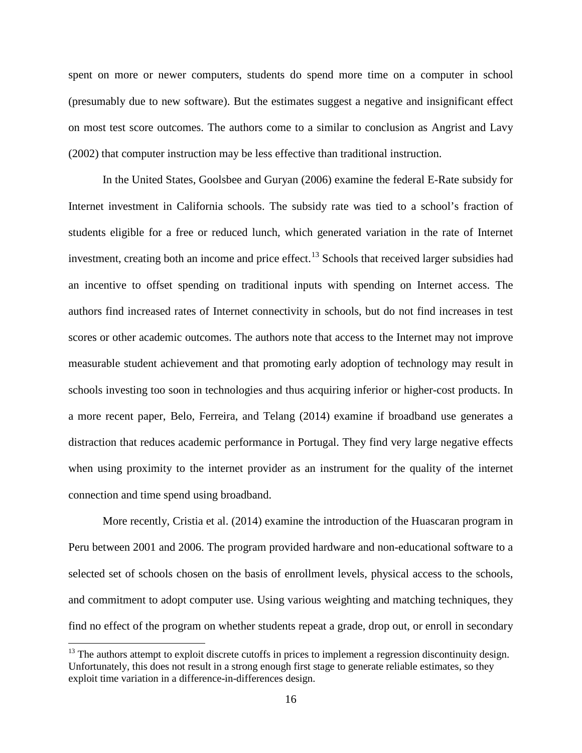spent on more or newer computers, students do spend more time on a computer in school (presumably due to new software). But the estimates suggest a negative and insignificant effect on most test score outcomes. The authors come to a similar to conclusion as Angrist and Lavy (2002) that computer instruction may be less effective than traditional instruction.

In the United States, Goolsbee and Guryan (2006) examine the federal E-Rate subsidy for Internet investment in California schools. The subsidy rate was tied to a school's fraction of students eligible for a free or reduced lunch, which generated variation in the rate of Internet investment, creating both an income and price effect.<sup>[13](#page-16-0)</sup> Schools that received larger subsidies had an incentive to offset spending on traditional inputs with spending on Internet access. The authors find increased rates of Internet connectivity in schools, but do not find increases in test scores or other academic outcomes. The authors note that access to the Internet may not improve measurable student achievement and that promoting early adoption of technology may result in schools investing too soon in technologies and thus acquiring inferior or higher-cost products. In a more recent paper, Belo, Ferreira, and Telang (2014) examine if broadband use generates a distraction that reduces academic performance in Portugal. They find very large negative effects when using proximity to the internet provider as an instrument for the quality of the internet connection and time spend using broadband.

More recently, Cristia et al. (2014) examine the introduction of the Huascaran program in Peru between 2001 and 2006. The program provided hardware and non-educational software to a selected set of schools chosen on the basis of enrollment levels, physical access to the schools, and commitment to adopt computer use. Using various weighting and matching techniques, they find no effect of the program on whether students repeat a grade, drop out, or enroll in secondary

l

<span id="page-16-0"></span><sup>&</sup>lt;sup>13</sup> The authors attempt to exploit discrete cutoffs in prices to implement a regression discontinuity design. Unfortunately, this does not result in a strong enough first stage to generate reliable estimates, so they exploit time variation in a difference-in-differences design.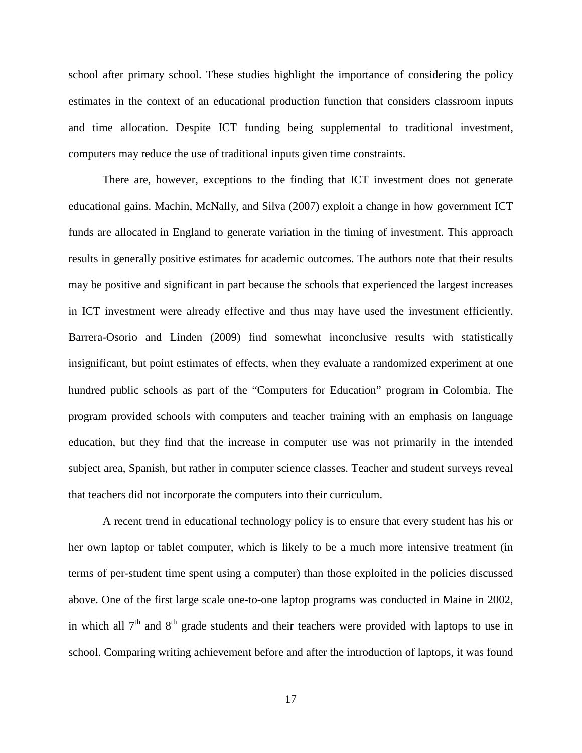school after primary school. These studies highlight the importance of considering the policy estimates in the context of an educational production function that considers classroom inputs and time allocation. Despite ICT funding being supplemental to traditional investment, computers may reduce the use of traditional inputs given time constraints.

There are, however, exceptions to the finding that ICT investment does not generate educational gains. Machin, McNally, and Silva (2007) exploit a change in how government ICT funds are allocated in England to generate variation in the timing of investment. This approach results in generally positive estimates for academic outcomes. The authors note that their results may be positive and significant in part because the schools that experienced the largest increases in ICT investment were already effective and thus may have used the investment efficiently. Barrera-Osorio and Linden (2009) find somewhat inconclusive results with statistically insignificant, but point estimates of effects, when they evaluate a randomized experiment at one hundred public schools as part of the "Computers for Education" program in Colombia. The program provided schools with computers and teacher training with an emphasis on language education, but they find that the increase in computer use was not primarily in the intended subject area, Spanish, but rather in computer science classes. Teacher and student surveys reveal that teachers did not incorporate the computers into their curriculum.

A recent trend in educational technology policy is to ensure that every student has his or her own laptop or tablet computer, which is likely to be a much more intensive treatment (in terms of per-student time spent using a computer) than those exploited in the policies discussed above. One of the first large scale one-to-one laptop programs was conducted in Maine in 2002, in which all  $7<sup>th</sup>$  and  $8<sup>th</sup>$  grade students and their teachers were provided with laptops to use in school. Comparing writing achievement before and after the introduction of laptops, it was found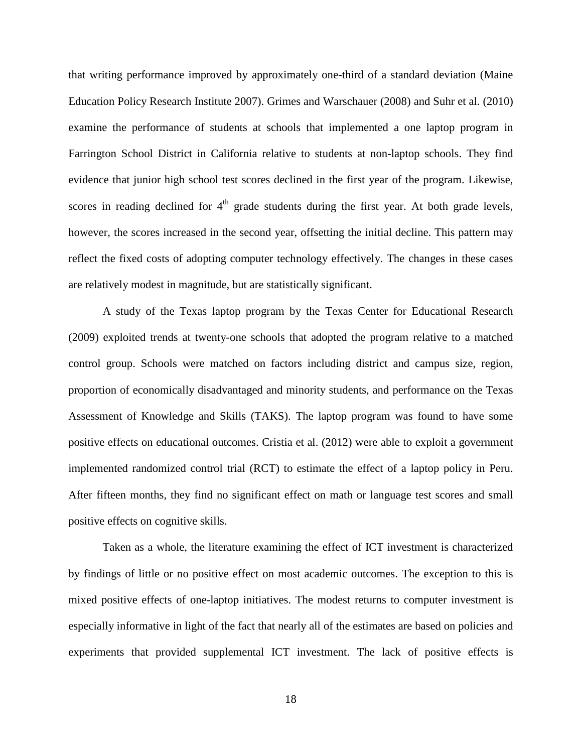that writing performance improved by approximately one-third of a standard deviation (Maine Education Policy Research Institute 2007). Grimes and Warschauer (2008) and Suhr et al. (2010) examine the performance of students at schools that implemented a one laptop program in Farrington School District in California relative to students at non-laptop schools. They find evidence that junior high school test scores declined in the first year of the program. Likewise, scores in reading declined for  $4<sup>th</sup>$  grade students during the first year. At both grade levels, however, the scores increased in the second year, offsetting the initial decline. This pattern may reflect the fixed costs of adopting computer technology effectively. The changes in these cases are relatively modest in magnitude, but are statistically significant.

A study of the Texas laptop program by the Texas Center for Educational Research (2009) exploited trends at twenty-one schools that adopted the program relative to a matched control group. Schools were matched on factors including district and campus size, region, proportion of economically disadvantaged and minority students, and performance on the Texas Assessment of Knowledge and Skills (TAKS). The laptop program was found to have some positive effects on educational outcomes. Cristia et al. (2012) were able to exploit a government implemented randomized control trial (RCT) to estimate the effect of a laptop policy in Peru. After fifteen months, they find no significant effect on math or language test scores and small positive effects on cognitive skills.

Taken as a whole, the literature examining the effect of ICT investment is characterized by findings of little or no positive effect on most academic outcomes. The exception to this is mixed positive effects of one-laptop initiatives. The modest returns to computer investment is especially informative in light of the fact that nearly all of the estimates are based on policies and experiments that provided supplemental ICT investment. The lack of positive effects is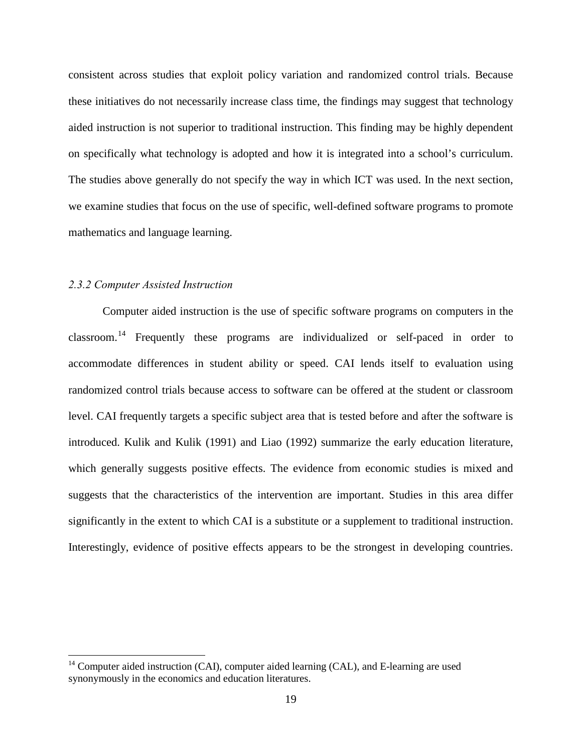consistent across studies that exploit policy variation and randomized control trials. Because these initiatives do not necessarily increase class time, the findings may suggest that technology aided instruction is not superior to traditional instruction. This finding may be highly dependent on specifically what technology is adopted and how it is integrated into a school's curriculum. The studies above generally do not specify the way in which ICT was used. In the next section, we examine studies that focus on the use of specific, well-defined software programs to promote mathematics and language learning.

## *2.3.2 Computer Assisted Instruction*

 $\overline{a}$ 

Computer aided instruction is the use of specific software programs on computers in the classroom.[14](#page-19-0) Frequently these programs are individualized or self-paced in order to accommodate differences in student ability or speed. CAI lends itself to evaluation using randomized control trials because access to software can be offered at the student or classroom level. CAI frequently targets a specific subject area that is tested before and after the software is introduced. Kulik and Kulik (1991) and Liao (1992) summarize the early education literature, which generally suggests positive effects. The evidence from economic studies is mixed and suggests that the characteristics of the intervention are important. Studies in this area differ significantly in the extent to which CAI is a substitute or a supplement to traditional instruction. Interestingly, evidence of positive effects appears to be the strongest in developing countries.

<span id="page-19-0"></span> $14$  Computer aided instruction (CAI), computer aided learning (CAL), and E-learning are used synonymously in the economics and education literatures.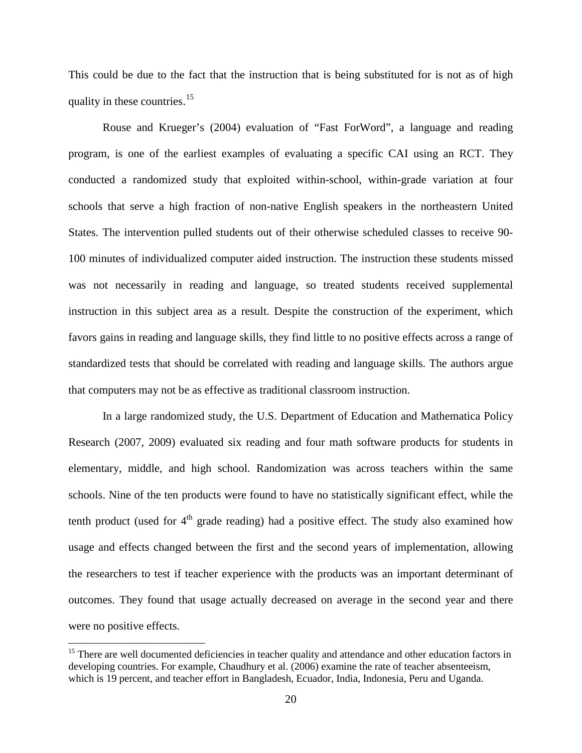This could be due to the fact that the instruction that is being substituted for is not as of high quality in these countries. $15$ 

Rouse and Krueger's (2004) evaluation of "Fast ForWord", a language and reading program, is one of the earliest examples of evaluating a specific CAI using an RCT. They conducted a randomized study that exploited within-school, within-grade variation at four schools that serve a high fraction of non-native English speakers in the northeastern United States. The intervention pulled students out of their otherwise scheduled classes to receive 90- 100 minutes of individualized computer aided instruction. The instruction these students missed was not necessarily in reading and language, so treated students received supplemental instruction in this subject area as a result. Despite the construction of the experiment, which favors gains in reading and language skills, they find little to no positive effects across a range of standardized tests that should be correlated with reading and language skills. The authors argue that computers may not be as effective as traditional classroom instruction.

In a large randomized study, the U.S. Department of Education and Mathematica Policy Research (2007, 2009) evaluated six reading and four math software products for students in elementary, middle, and high school. Randomization was across teachers within the same schools. Nine of the ten products were found to have no statistically significant effect, while the tenth product (used for  $4<sup>th</sup>$  grade reading) had a positive effect. The study also examined how usage and effects changed between the first and the second years of implementation, allowing the researchers to test if teacher experience with the products was an important determinant of outcomes. They found that usage actually decreased on average in the second year and there were no positive effects.

l

<span id="page-20-0"></span><sup>&</sup>lt;sup>15</sup> There are well documented deficiencies in teacher quality and attendance and other education factors in developing countries. For example, Chaudhury et al. (2006) examine the rate of teacher absenteeism, which is 19 percent, and teacher effort in Bangladesh, Ecuador, India, Indonesia, Peru and Uganda.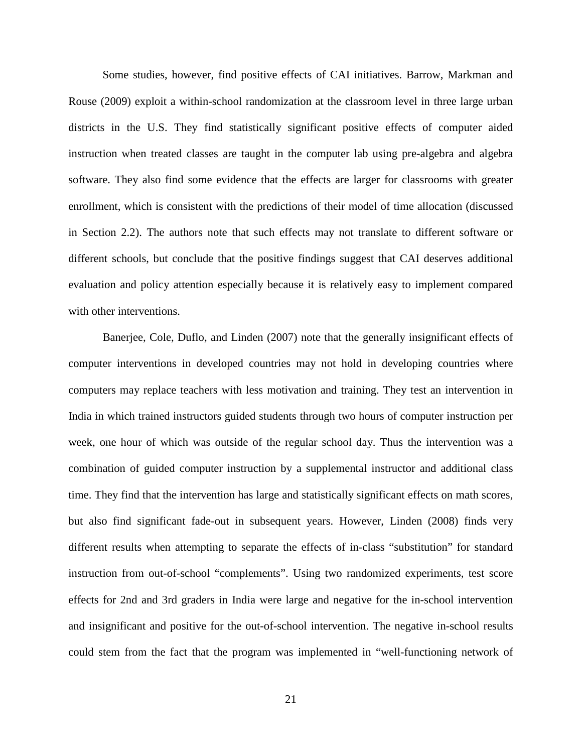Some studies, however, find positive effects of CAI initiatives. Barrow, Markman and Rouse (2009) exploit a within-school randomization at the classroom level in three large urban districts in the U.S. They find statistically significant positive effects of computer aided instruction when treated classes are taught in the computer lab using pre-algebra and algebra software. They also find some evidence that the effects are larger for classrooms with greater enrollment, which is consistent with the predictions of their model of time allocation (discussed in Section 2.2). The authors note that such effects may not translate to different software or different schools, but conclude that the positive findings suggest that CAI deserves additional evaluation and policy attention especially because it is relatively easy to implement compared with other interventions.

Banerjee, Cole, Duflo, and Linden (2007) note that the generally insignificant effects of computer interventions in developed countries may not hold in developing countries where computers may replace teachers with less motivation and training. They test an intervention in India in which trained instructors guided students through two hours of computer instruction per week, one hour of which was outside of the regular school day. Thus the intervention was a combination of guided computer instruction by a supplemental instructor and additional class time. They find that the intervention has large and statistically significant effects on math scores, but also find significant fade-out in subsequent years. However, Linden (2008) finds very different results when attempting to separate the effects of in-class "substitution" for standard instruction from out-of-school "complements". Using two randomized experiments, test score effects for 2nd and 3rd graders in India were large and negative for the in-school intervention and insignificant and positive for the out-of-school intervention. The negative in-school results could stem from the fact that the program was implemented in "well-functioning network of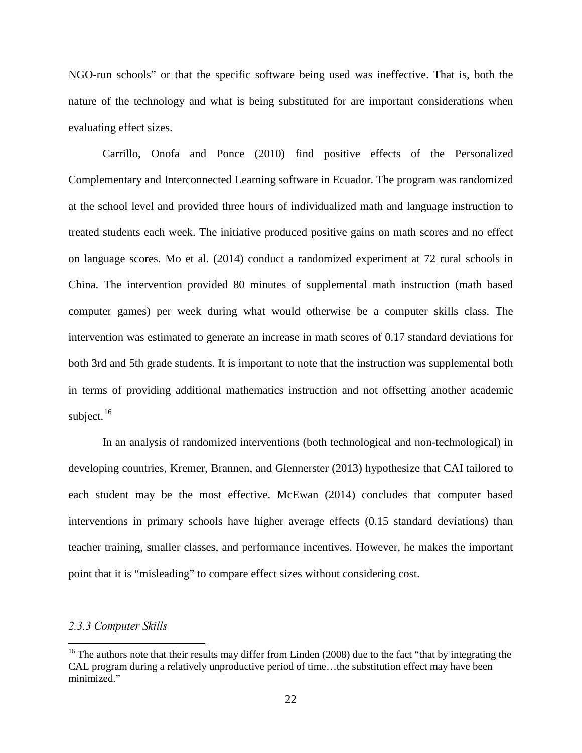NGO-run schools" or that the specific software being used was ineffective. That is, both the nature of the technology and what is being substituted for are important considerations when evaluating effect sizes.

Carrillo, Onofa and Ponce (2010) find positive effects of the Personalized Complementary and Interconnected Learning software in Ecuador. The program was randomized at the school level and provided three hours of individualized math and language instruction to treated students each week. The initiative produced positive gains on math scores and no effect on language scores. Mo et al. (2014) conduct a randomized experiment at 72 rural schools in China. The intervention provided 80 minutes of supplemental math instruction (math based computer games) per week during what would otherwise be a computer skills class. The intervention was estimated to generate an increase in math scores of 0.17 standard deviations for both 3rd and 5th grade students. It is important to note that the instruction was supplemental both in terms of providing additional mathematics instruction and not offsetting another academic subject.<sup>16</sup>

In an analysis of randomized interventions (both technological and non-technological) in developing countries, Kremer, Brannen, and Glennerster (2013) hypothesize that CAI tailored to each student may be the most effective. McEwan (2014) concludes that computer based interventions in primary schools have higher average effects (0.15 standard deviations) than teacher training, smaller classes, and performance incentives. However, he makes the important point that it is "misleading" to compare effect sizes without considering cost.

#### *2.3.3 Computer Skills*

l

<span id="page-22-0"></span><sup>&</sup>lt;sup>16</sup> The authors note that their results may differ from Linden (2008) due to the fact "that by integrating the CAL program during a relatively unproductive period of time…the substitution effect may have been minimized."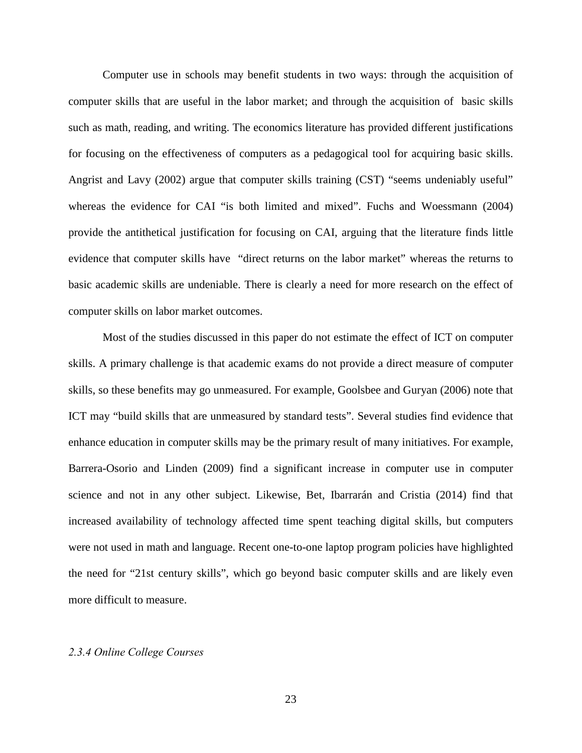Computer use in schools may benefit students in two ways: through the acquisition of computer skills that are useful in the labor market; and through the acquisition of basic skills such as math, reading, and writing. The economics literature has provided different justifications for focusing on the effectiveness of computers as a pedagogical tool for acquiring basic skills. Angrist and Lavy (2002) argue that computer skills training (CST) "seems undeniably useful" whereas the evidence for CAI "is both limited and mixed". Fuchs and Woessmann (2004) provide the antithetical justification for focusing on CAI, arguing that the literature finds little evidence that computer skills have "direct returns on the labor market" whereas the returns to basic academic skills are undeniable. There is clearly a need for more research on the effect of computer skills on labor market outcomes.

Most of the studies discussed in this paper do not estimate the effect of ICT on computer skills. A primary challenge is that academic exams do not provide a direct measure of computer skills, so these benefits may go unmeasured. For example, Goolsbee and Guryan (2006) note that ICT may "build skills that are unmeasured by standard tests". Several studies find evidence that enhance education in computer skills may be the primary result of many initiatives. For example, Barrera-Osorio and Linden (2009) find a significant increase in computer use in computer science and not in any other subject. Likewise, Bet, Ibarrarán and Cristia (2014) find that increased availability of technology affected time spent teaching digital skills, but computers were not used in math and language. Recent one-to-one laptop program policies have highlighted the need for "21st century skills", which go beyond basic computer skills and are likely even more difficult to measure.

#### *2.3.4 Online College Courses*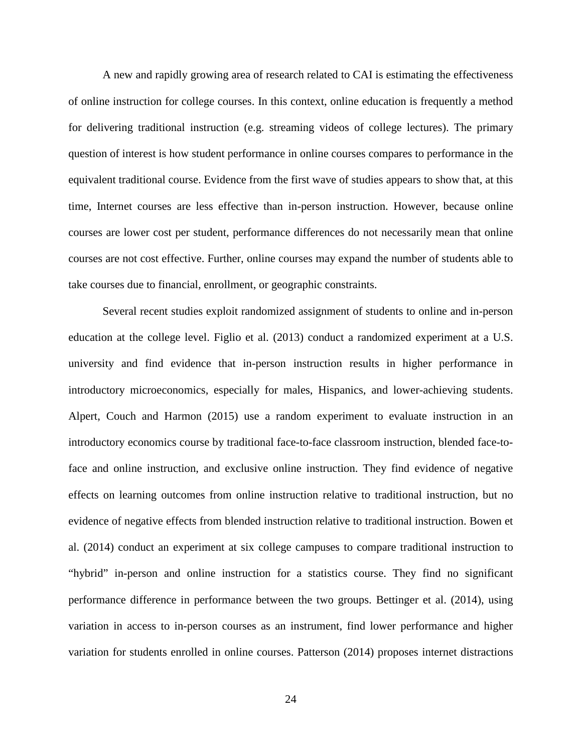A new and rapidly growing area of research related to CAI is estimating the effectiveness of online instruction for college courses. In this context, online education is frequently a method for delivering traditional instruction (e.g. streaming videos of college lectures). The primary question of interest is how student performance in online courses compares to performance in the equivalent traditional course. Evidence from the first wave of studies appears to show that, at this time, Internet courses are less effective than in-person instruction. However, because online courses are lower cost per student, performance differences do not necessarily mean that online courses are not cost effective. Further, online courses may expand the number of students able to take courses due to financial, enrollment, or geographic constraints.

Several recent studies exploit randomized assignment of students to online and in-person education at the college level. Figlio et al. (2013) conduct a randomized experiment at a U.S. university and find evidence that in-person instruction results in higher performance in introductory microeconomics, especially for males, Hispanics, and lower-achieving students. Alpert, Couch and Harmon (2015) use a random experiment to evaluate instruction in an introductory economics course by traditional face-to-face classroom instruction, blended face-toface and online instruction, and exclusive online instruction. They find evidence of negative effects on learning outcomes from online instruction relative to traditional instruction, but no evidence of negative effects from blended instruction relative to traditional instruction. Bowen et al. (2014) conduct an experiment at six college campuses to compare traditional instruction to "hybrid" in-person and online instruction for a statistics course. They find no significant performance difference in performance between the two groups. Bettinger et al. (2014), using variation in access to in-person courses as an instrument, find lower performance and higher variation for students enrolled in online courses. Patterson (2014) proposes internet distractions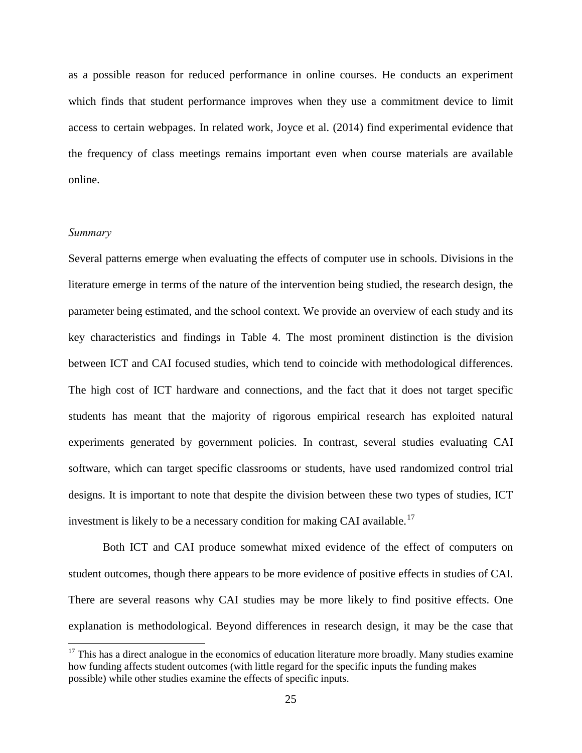as a possible reason for reduced performance in online courses. He conducts an experiment which finds that student performance improves when they use a commitment device to limit access to certain webpages. In related work, Joyce et al. (2014) find experimental evidence that the frequency of class meetings remains important even when course materials are available online.

#### *Summary*

l

Several patterns emerge when evaluating the effects of computer use in schools. Divisions in the literature emerge in terms of the nature of the intervention being studied, the research design, the parameter being estimated, and the school context. We provide an overview of each study and its key characteristics and findings in Table 4. The most prominent distinction is the division between ICT and CAI focused studies, which tend to coincide with methodological differences. The high cost of ICT hardware and connections, and the fact that it does not target specific students has meant that the majority of rigorous empirical research has exploited natural experiments generated by government policies. In contrast, several studies evaluating CAI software, which can target specific classrooms or students, have used randomized control trial designs. It is important to note that despite the division between these two types of studies, ICT investment is likely to be a necessary condition for making CAI available.<sup>[17](#page-25-0)</sup>

Both ICT and CAI produce somewhat mixed evidence of the effect of computers on student outcomes, though there appears to be more evidence of positive effects in studies of CAI. There are several reasons why CAI studies may be more likely to find positive effects. One explanation is methodological. Beyond differences in research design, it may be the case that

<span id="page-25-0"></span> $17$  This has a direct analogue in the economics of education literature more broadly. Many studies examine how funding affects student outcomes (with little regard for the specific inputs the funding makes possible) while other studies examine the effects of specific inputs.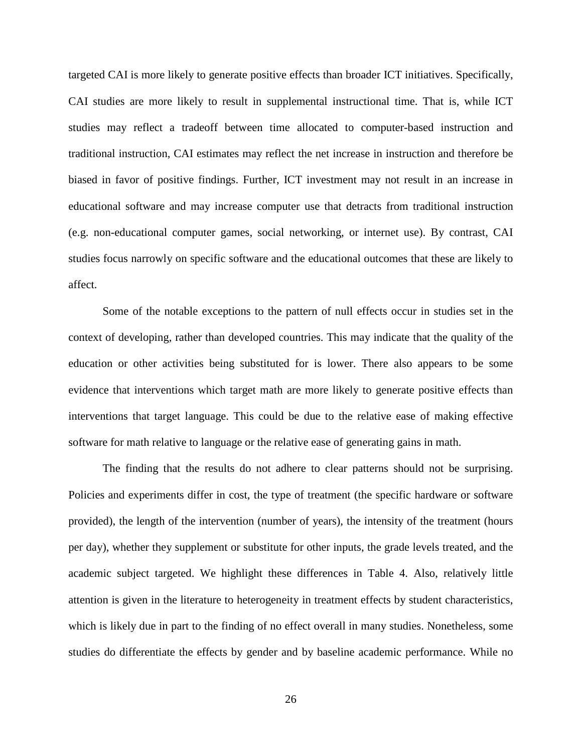targeted CAI is more likely to generate positive effects than broader ICT initiatives. Specifically, CAI studies are more likely to result in supplemental instructional time. That is, while ICT studies may reflect a tradeoff between time allocated to computer-based instruction and traditional instruction, CAI estimates may reflect the net increase in instruction and therefore be biased in favor of positive findings. Further, ICT investment may not result in an increase in educational software and may increase computer use that detracts from traditional instruction (e.g. non-educational computer games, social networking, or internet use). By contrast, CAI studies focus narrowly on specific software and the educational outcomes that these are likely to affect.

Some of the notable exceptions to the pattern of null effects occur in studies set in the context of developing, rather than developed countries. This may indicate that the quality of the education or other activities being substituted for is lower. There also appears to be some evidence that interventions which target math are more likely to generate positive effects than interventions that target language. This could be due to the relative ease of making effective software for math relative to language or the relative ease of generating gains in math.

The finding that the results do not adhere to clear patterns should not be surprising. Policies and experiments differ in cost, the type of treatment (the specific hardware or software provided), the length of the intervention (number of years), the intensity of the treatment (hours per day), whether they supplement or substitute for other inputs, the grade levels treated, and the academic subject targeted. We highlight these differences in Table 4. Also, relatively little attention is given in the literature to heterogeneity in treatment effects by student characteristics, which is likely due in part to the finding of no effect overall in many studies. Nonetheless, some studies do differentiate the effects by gender and by baseline academic performance. While no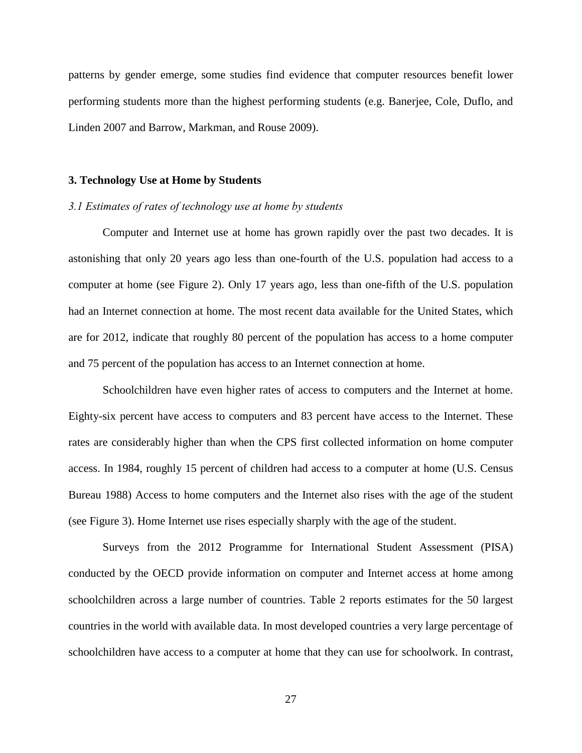patterns by gender emerge, some studies find evidence that computer resources benefit lower performing students more than the highest performing students (e.g. Banerjee, Cole, Duflo, and Linden 2007 and Barrow, Markman, and Rouse 2009).

#### **3. Technology Use at Home by Students**

#### *3.1 Estimates of rates of technology use at home by students*

Computer and Internet use at home has grown rapidly over the past two decades. It is astonishing that only 20 years ago less than one-fourth of the U.S. population had access to a computer at home (see Figure 2). Only 17 years ago, less than one-fifth of the U.S. population had an Internet connection at home. The most recent data available for the United States, which are for 2012, indicate that roughly 80 percent of the population has access to a home computer and 75 percent of the population has access to an Internet connection at home.

Schoolchildren have even higher rates of access to computers and the Internet at home. Eighty-six percent have access to computers and 83 percent have access to the Internet. These rates are considerably higher than when the CPS first collected information on home computer access. In 1984, roughly 15 percent of children had access to a computer at home (U.S. Census Bureau 1988) Access to home computers and the Internet also rises with the age of the student (see Figure 3). Home Internet use rises especially sharply with the age of the student.

Surveys from the 2012 Programme for International Student Assessment (PISA) conducted by the OECD provide information on computer and Internet access at home among schoolchildren across a large number of countries. Table 2 reports estimates for the 50 largest countries in the world with available data. In most developed countries a very large percentage of schoolchildren have access to a computer at home that they can use for schoolwork. In contrast,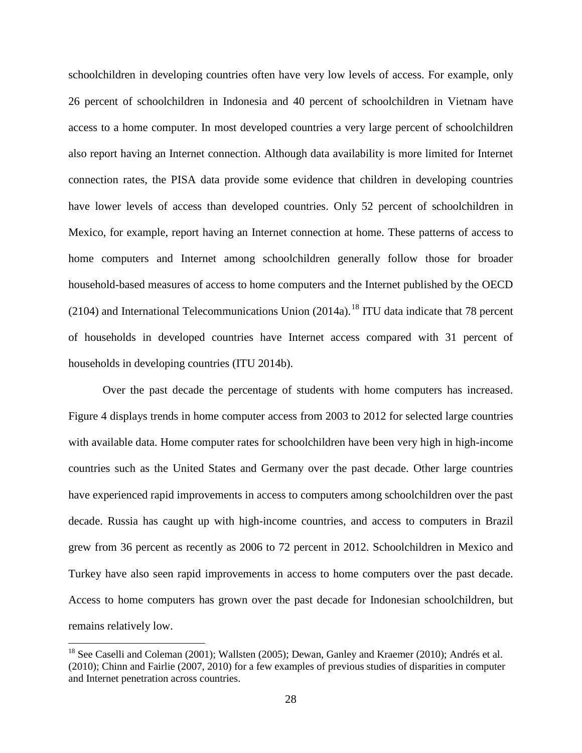schoolchildren in developing countries often have very low levels of access. For example, only 26 percent of schoolchildren in Indonesia and 40 percent of schoolchildren in Vietnam have access to a home computer. In most developed countries a very large percent of schoolchildren also report having an Internet connection. Although data availability is more limited for Internet connection rates, the PISA data provide some evidence that children in developing countries have lower levels of access than developed countries. Only 52 percent of schoolchildren in Mexico, for example, report having an Internet connection at home. These patterns of access to home computers and Internet among schoolchildren generally follow those for broader household-based measures of access to home computers and the Internet published by the OECD (2104) and International Telecommunications Union (2014a).<sup>[18](#page-28-0)</sup> ITU data indicate that 78 percent of households in developed countries have Internet access compared with 31 percent of households in developing countries (ITU 2014b).

Over the past decade the percentage of students with home computers has increased. Figure 4 displays trends in home computer access from 2003 to 2012 for selected large countries with available data. Home computer rates for schoolchildren have been very high in high-income countries such as the United States and Germany over the past decade. Other large countries have experienced rapid improvements in access to computers among schoolchildren over the past decade. Russia has caught up with high-income countries, and access to computers in Brazil grew from 36 percent as recently as 2006 to 72 percent in 2012. Schoolchildren in Mexico and Turkey have also seen rapid improvements in access to home computers over the past decade. Access to home computers has grown over the past decade for Indonesian schoolchildren, but remains relatively low.

l

<span id="page-28-0"></span><sup>&</sup>lt;sup>18</sup> See Caselli and Coleman (2001); Wallsten (2005); Dewan, Ganley and Kraemer (2010); Andrés et al. (2010); Chinn and Fairlie (2007, 2010) for a few examples of previous studies of disparities in computer and Internet penetration across countries.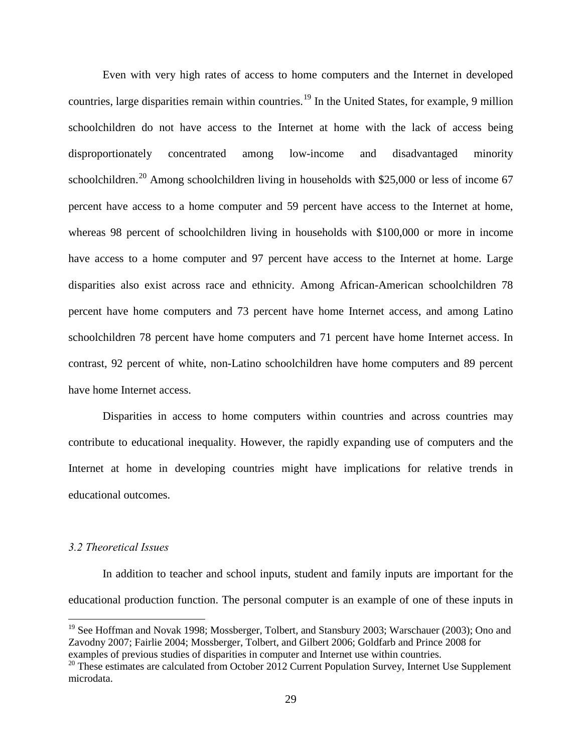Even with very high rates of access to home computers and the Internet in developed countries, large disparities remain within countries.<sup>[19](#page-29-0)</sup> In the United States, for example, 9 million schoolchildren do not have access to the Internet at home with the lack of access being disproportionately concentrated among low-income and disadvantaged minority schoolchildren.<sup>[20](#page-29-1)</sup> Among schoolchildren living in households with \$25,000 or less of income 67 percent have access to a home computer and 59 percent have access to the Internet at home, whereas 98 percent of schoolchildren living in households with \$100,000 or more in income have access to a home computer and 97 percent have access to the Internet at home. Large disparities also exist across race and ethnicity. Among African-American schoolchildren 78 percent have home computers and 73 percent have home Internet access, and among Latino schoolchildren 78 percent have home computers and 71 percent have home Internet access. In contrast, 92 percent of white, non-Latino schoolchildren have home computers and 89 percent have home Internet access.

Disparities in access to home computers within countries and across countries may contribute to educational inequality. However, the rapidly expanding use of computers and the Internet at home in developing countries might have implications for relative trends in educational outcomes.

### *3.2 Theoretical Issues*

 $\overline{a}$ 

In addition to teacher and school inputs, student and family inputs are important for the educational production function. The personal computer is an example of one of these inputs in

<span id="page-29-0"></span><sup>&</sup>lt;sup>19</sup> See Hoffman and Novak 1998; Mossberger, Tolbert, and Stansbury 2003; Warschauer (2003); Ono and Zavodny 2007; Fairlie 2004; Mossberger, Tolbert, and Gilbert 2006; Goldfarb and Prince 2008 for examples of previous studies of disparities in computer and Internet use within countries.

<span id="page-29-1"></span><sup>&</sup>lt;sup>20</sup> These estimates are calculated from October 2012 Current Population Survey, Internet Use Supplement microdata.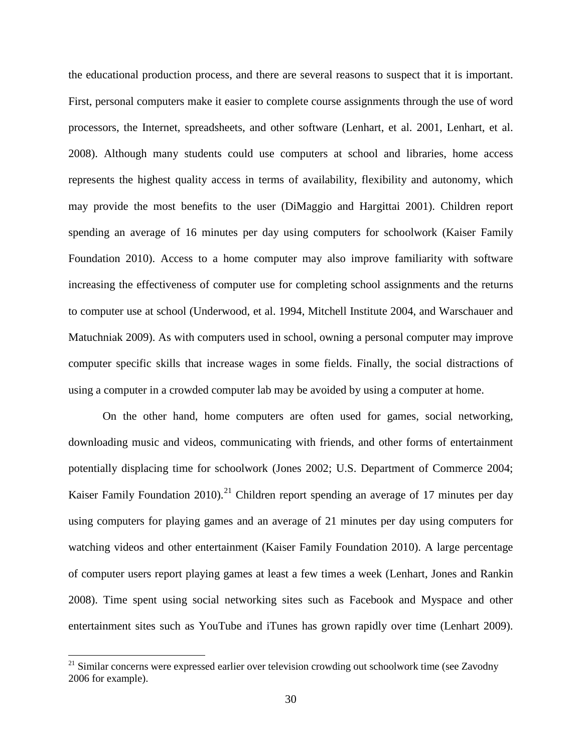the educational production process, and there are several reasons to suspect that it is important. First, personal computers make it easier to complete course assignments through the use of word processors, the Internet, spreadsheets, and other software (Lenhart, et al. 2001, Lenhart, et al. 2008). Although many students could use computers at school and libraries, home access represents the highest quality access in terms of availability, flexibility and autonomy, which may provide the most benefits to the user (DiMaggio and Hargittai 2001). Children report spending an average of 16 minutes per day using computers for schoolwork (Kaiser Family Foundation 2010). Access to a home computer may also improve familiarity with software increasing the effectiveness of computer use for completing school assignments and the returns to computer use at school (Underwood, et al. 1994, Mitchell Institute 2004, and Warschauer and Matuchniak 2009). As with computers used in school, owning a personal computer may improve computer specific skills that increase wages in some fields. Finally, the social distractions of using a computer in a crowded computer lab may be avoided by using a computer at home.

On the other hand, home computers are often used for games, social networking, downloading music and videos, communicating with friends, and other forms of entertainment potentially displacing time for schoolwork (Jones 2002; U.S. Department of Commerce 2004; Kaiser Family Foundation 2010).<sup>[21](#page-30-0)</sup> Children report spending an average of 17 minutes per day using computers for playing games and an average of 21 minutes per day using computers for watching videos and other entertainment (Kaiser Family Foundation 2010). A large percentage of computer users report playing games at least a few times a week (Lenhart, Jones and Rankin 2008). Time spent using social networking sites such as Facebook and Myspace and other entertainment sites such as YouTube and iTunes has grown rapidly over time (Lenhart 2009).

 $\overline{a}$ 

<span id="page-30-0"></span> $21$  Similar concerns were expressed earlier over television crowding out schoolwork time (see Zavodny 2006 for example).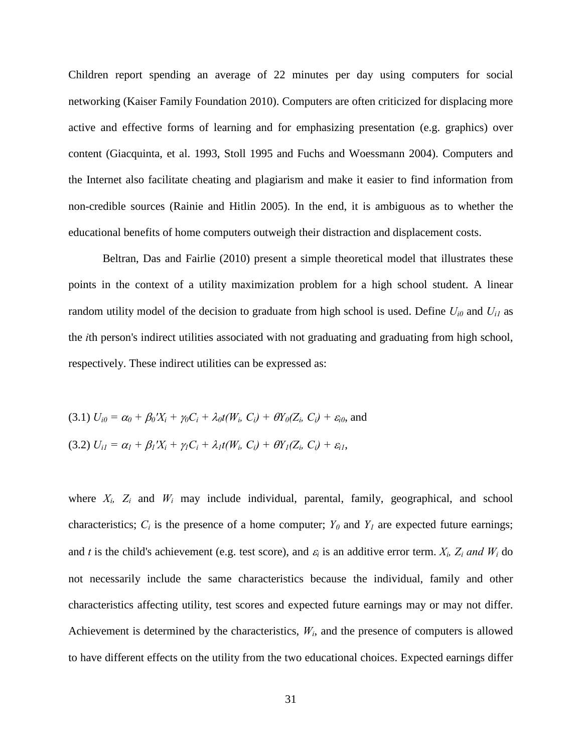Children report spending an average of 22 minutes per day using computers for social networking (Kaiser Family Foundation 2010). Computers are often criticized for displacing more active and effective forms of learning and for emphasizing presentation (e.g. graphics) over content (Giacquinta, et al. 1993, Stoll 1995 and Fuchs and Woessmann 2004). Computers and the Internet also facilitate cheating and plagiarism and make it easier to find information from non-credible sources (Rainie and Hitlin 2005). In the end, it is ambiguous as to whether the educational benefits of home computers outweigh their distraction and displacement costs.

Beltran, Das and Fairlie (2010) present a simple theoretical model that illustrates these points in the context of a utility maximization problem for a high school student. A linear random utility model of the decision to graduate from high school is used. Define  $U_{i0}$  and  $U_{i1}$  as the *i*th person's indirect utilities associated with not graduating and graduating from high school, respectively. These indirect utilities can be expressed as:

(3.1) 
$$
U_{i0} = \alpha_0 + \beta_0' X_i + \gamma_0 C_i + \lambda_0 t(W_i, C_i) + \theta Y_0(Z_i, C_i) + \varepsilon_{i0}
$$
, and  
(3.2)  $U_{i1} = \alpha_1 + \beta_1' X_i + \gamma_1 C_i + \lambda_1 t(W_i, C_i) + \theta Y_1(Z_i, C_i) + \varepsilon_{i1}$ ,

where *Xi, Zi* and *Wi* may include individual, parental, family, geographical, and school characteristics;  $C_i$  is the presence of a home computer;  $Y_0$  and  $Y_1$  are expected future earnings; and *t* is the child's achievement (e.g. test score), and  $\varepsilon_i$  is an additive error term.  $X_i$ ,  $Z_i$  *and*  $W_i$  do not necessarily include the same characteristics because the individual, family and other characteristics affecting utility, test scores and expected future earnings may or may not differ. Achievement is determined by the characteristics, *Wi*, and the presence of computers is allowed to have different effects on the utility from the two educational choices. Expected earnings differ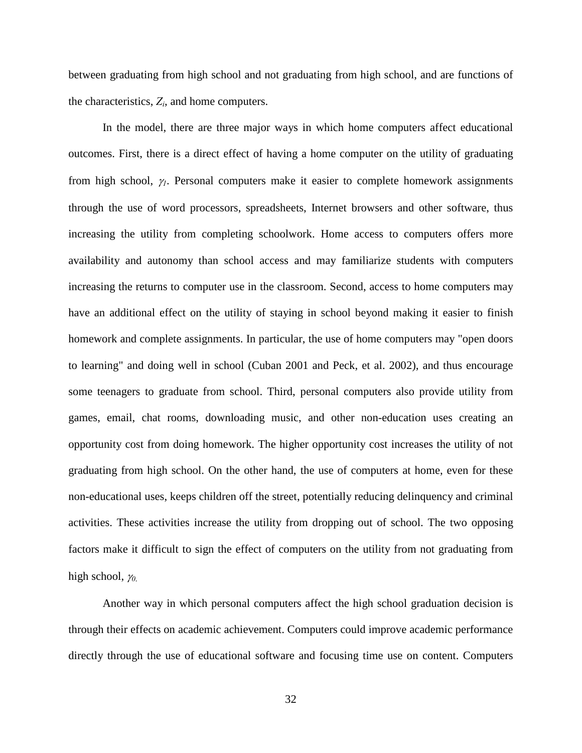between graduating from high school and not graduating from high school, and are functions of the characteristics,  $Z_i$ , and home computers.

In the model, there are three major ways in which home computers affect educational outcomes. First, there is a direct effect of having a home computer on the utility of graduating from high school, <sup>γ</sup>*1*. Personal computers make it easier to complete homework assignments through the use of word processors, spreadsheets, Internet browsers and other software, thus increasing the utility from completing schoolwork. Home access to computers offers more availability and autonomy than school access and may familiarize students with computers increasing the returns to computer use in the classroom. Second, access to home computers may have an additional effect on the utility of staying in school beyond making it easier to finish homework and complete assignments. In particular, the use of home computers may "open doors to learning" and doing well in school (Cuban 2001 and Peck, et al. 2002), and thus encourage some teenagers to graduate from school. Third, personal computers also provide utility from games, email, chat rooms, downloading music, and other non-education uses creating an opportunity cost from doing homework. The higher opportunity cost increases the utility of not graduating from high school. On the other hand, the use of computers at home, even for these non-educational uses, keeps children off the street, potentially reducing delinquency and criminal activities. These activities increase the utility from dropping out of school. The two opposing factors make it difficult to sign the effect of computers on the utility from not graduating from high school, <sup>γ</sup>*0*.

Another way in which personal computers affect the high school graduation decision is through their effects on academic achievement. Computers could improve academic performance directly through the use of educational software and focusing time use on content. Computers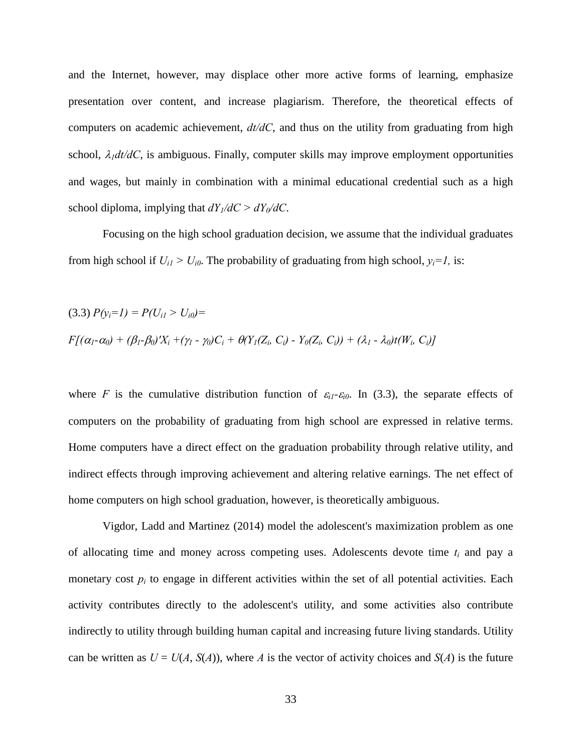and the Internet, however, may displace other more active forms of learning, emphasize presentation over content, and increase plagiarism. Therefore, the theoretical effects of computers on academic achievement, *dt/dC*, and thus on the utility from graduating from high school,  $\lambda_1 dt/dC$ , is ambiguous. Finally, computer skills may improve employment opportunities and wages, but mainly in combination with a minimal educational credential such as a high school diploma, implying that  $dY_1/dC > dY_0/dC$ .

Focusing on the high school graduation decision, we assume that the individual graduates from high school if  $U_{i1} > U_{i0}$ . The probability of graduating from high school,  $y_i = I$ , is:

(3.3) 
$$
P(y_i=1) = P(U_{i1} > U_{i0}) =
$$
  
\n $F[(\alpha_1 - \alpha_0) + (\beta_1 - \beta_0)'X_i + (\gamma_1 - \gamma_0)C_i + \theta(Y_1(Z_i, C_i) - Y_0(Z_i, C_i)) + (\lambda_1 - \lambda_0)t(W_i, C_i)]$ 

where *F* is the cumulative distribution function of  $\varepsilon_{i}I - \varepsilon_{i}0$ . In (3.3), the separate effects of computers on the probability of graduating from high school are expressed in relative terms. Home computers have a direct effect on the graduation probability through relative utility, and indirect effects through improving achievement and altering relative earnings. The net effect of home computers on high school graduation, however, is theoretically ambiguous.

Vigdor, Ladd and Martinez (2014) model the adolescent's maximization problem as one of allocating time and money across competing uses. Adolescents devote time *ti* and pay a monetary cost  $p_i$  to engage in different activities within the set of all potential activities. Each activity contributes directly to the adolescent's utility, and some activities also contribute indirectly to utility through building human capital and increasing future living standards. Utility can be written as  $U = U(A, S(A))$ , where *A* is the vector of activity choices and  $S(A)$  is the future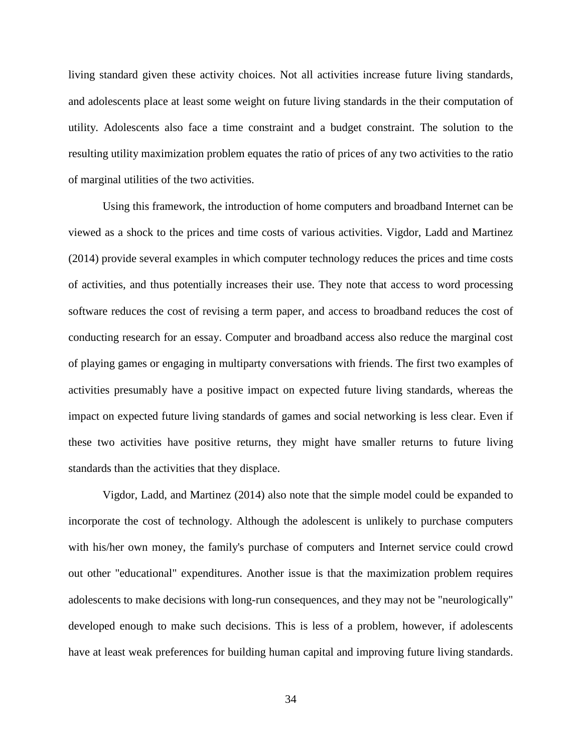living standard given these activity choices. Not all activities increase future living standards, and adolescents place at least some weight on future living standards in the their computation of utility. Adolescents also face a time constraint and a budget constraint. The solution to the resulting utility maximization problem equates the ratio of prices of any two activities to the ratio of marginal utilities of the two activities.

Using this framework, the introduction of home computers and broadband Internet can be viewed as a shock to the prices and time costs of various activities. Vigdor, Ladd and Martinez (2014) provide several examples in which computer technology reduces the prices and time costs of activities, and thus potentially increases their use. They note that access to word processing software reduces the cost of revising a term paper, and access to broadband reduces the cost of conducting research for an essay. Computer and broadband access also reduce the marginal cost of playing games or engaging in multiparty conversations with friends. The first two examples of activities presumably have a positive impact on expected future living standards, whereas the impact on expected future living standards of games and social networking is less clear. Even if these two activities have positive returns, they might have smaller returns to future living standards than the activities that they displace.

Vigdor, Ladd, and Martinez (2014) also note that the simple model could be expanded to incorporate the cost of technology. Although the adolescent is unlikely to purchase computers with his/her own money, the family's purchase of computers and Internet service could crowd out other "educational" expenditures. Another issue is that the maximization problem requires adolescents to make decisions with long-run consequences, and they may not be "neurologically" developed enough to make such decisions. This is less of a problem, however, if adolescents have at least weak preferences for building human capital and improving future living standards.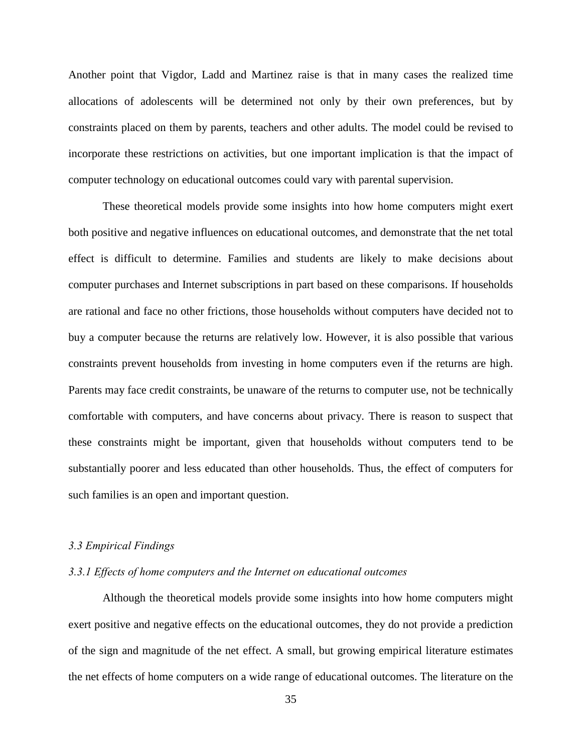Another point that Vigdor, Ladd and Martinez raise is that in many cases the realized time allocations of adolescents will be determined not only by their own preferences, but by constraints placed on them by parents, teachers and other adults. The model could be revised to incorporate these restrictions on activities, but one important implication is that the impact of computer technology on educational outcomes could vary with parental supervision.

These theoretical models provide some insights into how home computers might exert both positive and negative influences on educational outcomes, and demonstrate that the net total effect is difficult to determine. Families and students are likely to make decisions about computer purchases and Internet subscriptions in part based on these comparisons. If households are rational and face no other frictions, those households without computers have decided not to buy a computer because the returns are relatively low. However, it is also possible that various constraints prevent households from investing in home computers even if the returns are high. Parents may face credit constraints, be unaware of the returns to computer use, not be technically comfortable with computers, and have concerns about privacy. There is reason to suspect that these constraints might be important, given that households without computers tend to be substantially poorer and less educated than other households. Thus, the effect of computers for such families is an open and important question.

# *3.3 Empirical Findings*

#### *3.3.1 Effects of home computers and the Internet on educational outcomes*

Although the theoretical models provide some insights into how home computers might exert positive and negative effects on the educational outcomes, they do not provide a prediction of the sign and magnitude of the net effect. A small, but growing empirical literature estimates the net effects of home computers on a wide range of educational outcomes. The literature on the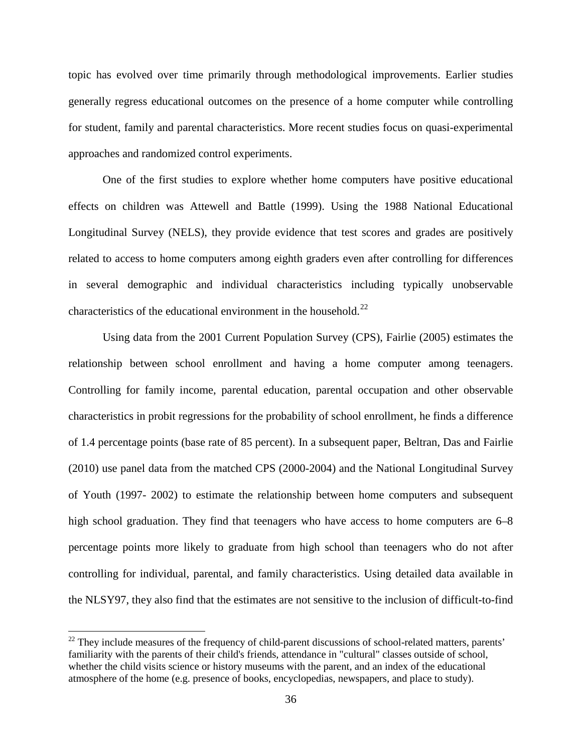topic has evolved over time primarily through methodological improvements. Earlier studies generally regress educational outcomes on the presence of a home computer while controlling for student, family and parental characteristics. More recent studies focus on quasi-experimental approaches and randomized control experiments.

One of the first studies to explore whether home computers have positive educational effects on children was Attewell and Battle (1999). Using the 1988 National Educational Longitudinal Survey (NELS), they provide evidence that test scores and grades are positively related to access to home computers among eighth graders even after controlling for differences in several demographic and individual characteristics including typically unobservable characteristics of the educational environment in the household.<sup>[22](#page-36-0)</sup>

Using data from the 2001 Current Population Survey (CPS), Fairlie (2005) estimates the relationship between school enrollment and having a home computer among teenagers. Controlling for family income, parental education, parental occupation and other observable characteristics in probit regressions for the probability of school enrollment, he finds a difference of 1.4 percentage points (base rate of 85 percent). In a subsequent paper, Beltran, Das and Fairlie (2010) use panel data from the matched CPS (2000-2004) and the National Longitudinal Survey of Youth (1997- 2002) to estimate the relationship between home computers and subsequent high school graduation. They find that teenagers who have access to home computers are 6–8 percentage points more likely to graduate from high school than teenagers who do not after controlling for individual, parental, and family characteristics. Using detailed data available in the NLSY97, they also find that the estimates are not sensitive to the inclusion of difficult-to-find

l

<span id="page-36-0"></span> $22$  They include measures of the frequency of child-parent discussions of school-related matters, parents' familiarity with the parents of their child's friends, attendance in "cultural" classes outside of school, whether the child visits science or history museums with the parent, and an index of the educational atmosphere of the home (e.g. presence of books, encyclopedias, newspapers, and place to study).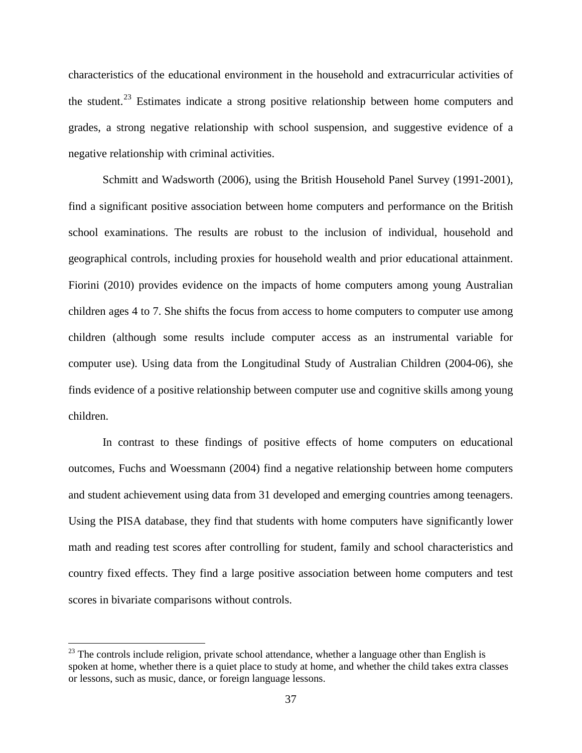characteristics of the educational environment in the household and extracurricular activities of the student.<sup>[23](#page-37-0)</sup> Estimates indicate a strong positive relationship between home computers and grades, a strong negative relationship with school suspension, and suggestive evidence of a negative relationship with criminal activities.

Schmitt and Wadsworth (2006), using the British Household Panel Survey (1991-2001), find a significant positive association between home computers and performance on the British school examinations. The results are robust to the inclusion of individual, household and geographical controls, including proxies for household wealth and prior educational attainment. Fiorini (2010) provides evidence on the impacts of home computers among young Australian children ages 4 to 7. She shifts the focus from access to home computers to computer use among children (although some results include computer access as an instrumental variable for computer use). Using data from the Longitudinal Study of Australian Children (2004-06), she finds evidence of a positive relationship between computer use and cognitive skills among young children.

In contrast to these findings of positive effects of home computers on educational outcomes, Fuchs and Woessmann (2004) find a negative relationship between home computers and student achievement using data from 31 developed and emerging countries among teenagers. Using the PISA database, they find that students with home computers have significantly lower math and reading test scores after controlling for student, family and school characteristics and country fixed effects. They find a large positive association between home computers and test scores in bivariate comparisons without controls.

l

<span id="page-37-0"></span> $23$  The controls include religion, private school attendance, whether a language other than English is spoken at home, whether there is a quiet place to study at home, and whether the child takes extra classes or lessons, such as music, dance, or foreign language lessons.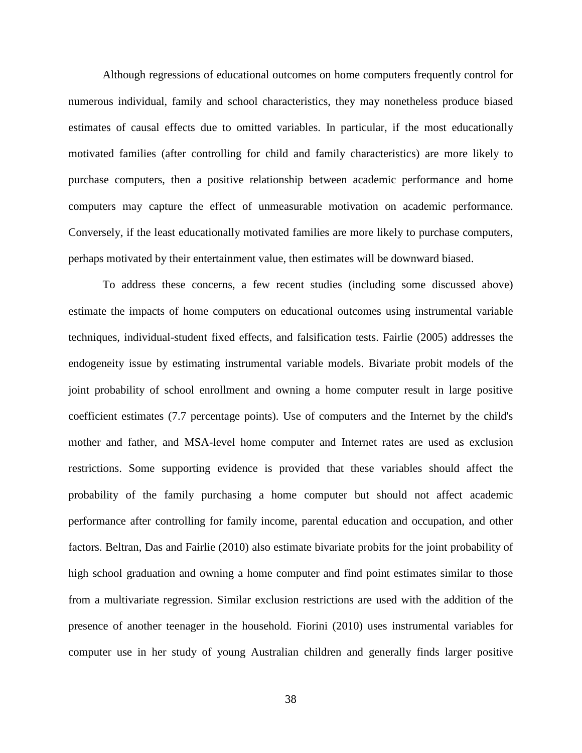Although regressions of educational outcomes on home computers frequently control for numerous individual, family and school characteristics, they may nonetheless produce biased estimates of causal effects due to omitted variables. In particular, if the most educationally motivated families (after controlling for child and family characteristics) are more likely to purchase computers, then a positive relationship between academic performance and home computers may capture the effect of unmeasurable motivation on academic performance. Conversely, if the least educationally motivated families are more likely to purchase computers, perhaps motivated by their entertainment value, then estimates will be downward biased.

To address these concerns, a few recent studies (including some discussed above) estimate the impacts of home computers on educational outcomes using instrumental variable techniques, individual-student fixed effects, and falsification tests. Fairlie (2005) addresses the endogeneity issue by estimating instrumental variable models. Bivariate probit models of the joint probability of school enrollment and owning a home computer result in large positive coefficient estimates (7.7 percentage points). Use of computers and the Internet by the child's mother and father, and MSA-level home computer and Internet rates are used as exclusion restrictions. Some supporting evidence is provided that these variables should affect the probability of the family purchasing a home computer but should not affect academic performance after controlling for family income, parental education and occupation, and other factors. Beltran, Das and Fairlie (2010) also estimate bivariate probits for the joint probability of high school graduation and owning a home computer and find point estimates similar to those from a multivariate regression. Similar exclusion restrictions are used with the addition of the presence of another teenager in the household. Fiorini (2010) uses instrumental variables for computer use in her study of young Australian children and generally finds larger positive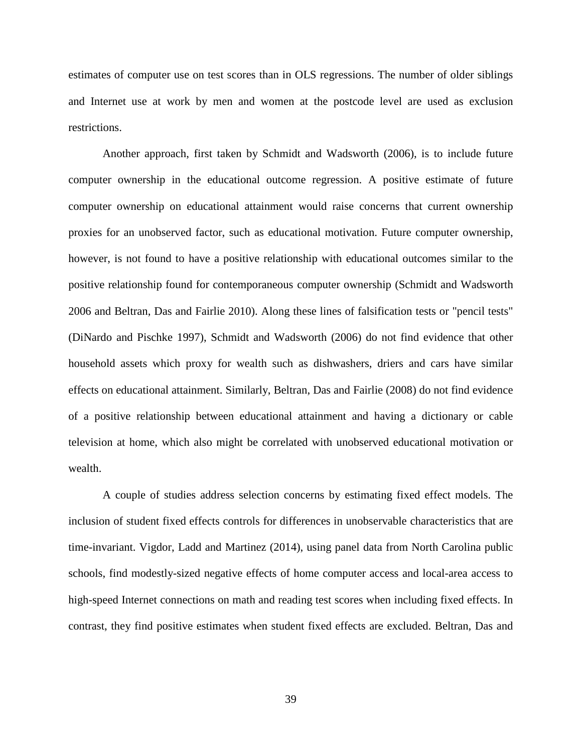estimates of computer use on test scores than in OLS regressions. The number of older siblings and Internet use at work by men and women at the postcode level are used as exclusion restrictions.

Another approach, first taken by Schmidt and Wadsworth (2006), is to include future computer ownership in the educational outcome regression. A positive estimate of future computer ownership on educational attainment would raise concerns that current ownership proxies for an unobserved factor, such as educational motivation. Future computer ownership, however, is not found to have a positive relationship with educational outcomes similar to the positive relationship found for contemporaneous computer ownership (Schmidt and Wadsworth 2006 and Beltran, Das and Fairlie 2010). Along these lines of falsification tests or "pencil tests" (DiNardo and Pischke 1997), Schmidt and Wadsworth (2006) do not find evidence that other household assets which proxy for wealth such as dishwashers, driers and cars have similar effects on educational attainment. Similarly, Beltran, Das and Fairlie (2008) do not find evidence of a positive relationship between educational attainment and having a dictionary or cable television at home, which also might be correlated with unobserved educational motivation or wealth.

A couple of studies address selection concerns by estimating fixed effect models. The inclusion of student fixed effects controls for differences in unobservable characteristics that are time-invariant. Vigdor, Ladd and Martinez (2014), using panel data from North Carolina public schools, find modestly-sized negative effects of home computer access and local-area access to high-speed Internet connections on math and reading test scores when including fixed effects. In contrast, they find positive estimates when student fixed effects are excluded. Beltran, Das and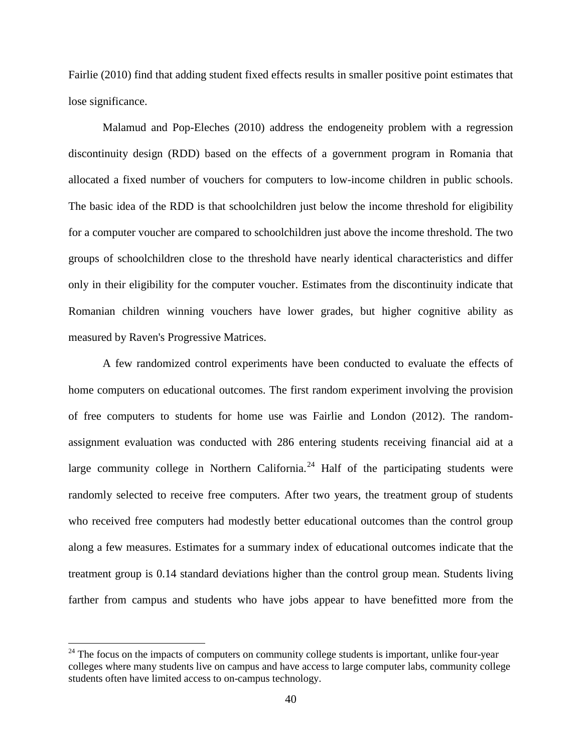Fairlie (2010) find that adding student fixed effects results in smaller positive point estimates that lose significance.

Malamud and Pop-Eleches (2010) address the endogeneity problem with a regression discontinuity design (RDD) based on the effects of a government program in Romania that allocated a fixed number of vouchers for computers to low-income children in public schools. The basic idea of the RDD is that schoolchildren just below the income threshold for eligibility for a computer voucher are compared to schoolchildren just above the income threshold. The two groups of schoolchildren close to the threshold have nearly identical characteristics and differ only in their eligibility for the computer voucher. Estimates from the discontinuity indicate that Romanian children winning vouchers have lower grades, but higher cognitive ability as measured by Raven's Progressive Matrices.

A few randomized control experiments have been conducted to evaluate the effects of home computers on educational outcomes. The first random experiment involving the provision of free computers to students for home use was Fairlie and London (2012). The randomassignment evaluation was conducted with 286 entering students receiving financial aid at a large community college in Northern California.<sup>[24](#page-40-0)</sup> Half of the participating students were randomly selected to receive free computers. After two years, the treatment group of students who received free computers had modestly better educational outcomes than the control group along a few measures. Estimates for a summary index of educational outcomes indicate that the treatment group is 0.14 standard deviations higher than the control group mean. Students living farther from campus and students who have jobs appear to have benefitted more from the

l

<span id="page-40-0"></span> $24$  The focus on the impacts of computers on community college students is important, unlike four-year colleges where many students live on campus and have access to large computer labs, community college students often have limited access to on-campus technology.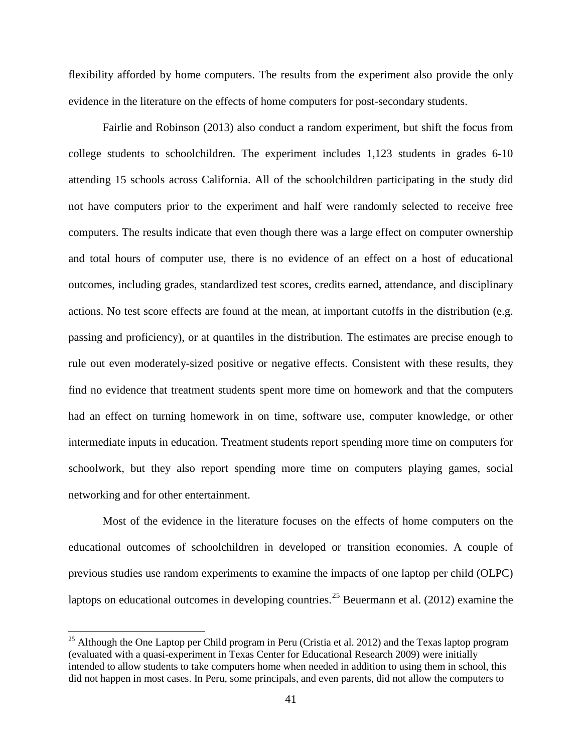flexibility afforded by home computers. The results from the experiment also provide the only evidence in the literature on the effects of home computers for post-secondary students.

Fairlie and Robinson (2013) also conduct a random experiment, but shift the focus from college students to schoolchildren. The experiment includes 1,123 students in grades 6-10 attending 15 schools across California. All of the schoolchildren participating in the study did not have computers prior to the experiment and half were randomly selected to receive free computers. The results indicate that even though there was a large effect on computer ownership and total hours of computer use, there is no evidence of an effect on a host of educational outcomes, including grades, standardized test scores, credits earned, attendance, and disciplinary actions. No test score effects are found at the mean, at important cutoffs in the distribution (e.g. passing and proficiency), or at quantiles in the distribution. The estimates are precise enough to rule out even moderately-sized positive or negative effects. Consistent with these results, they find no evidence that treatment students spent more time on homework and that the computers had an effect on turning homework in on time, software use, computer knowledge, or other intermediate inputs in education. Treatment students report spending more time on computers for schoolwork, but they also report spending more time on computers playing games, social networking and for other entertainment.

Most of the evidence in the literature focuses on the effects of home computers on the educational outcomes of schoolchildren in developed or transition economies. A couple of previous studies use random experiments to examine the impacts of one laptop per child (OLPC) laptops on educational outcomes in developing countries.<sup>[25](#page-41-0)</sup> Beuermann et al. (2012) examine the

l

<span id="page-41-0"></span><sup>&</sup>lt;sup>25</sup> Although the One Laptop per Child program in Peru (Cristia et al. 2012) and the Texas laptop program (evaluated with a quasi-experiment in Texas Center for Educational Research 2009) were initially intended to allow students to take computers home when needed in addition to using them in school, this did not happen in most cases. In Peru, some principals, and even parents, did not allow the computers to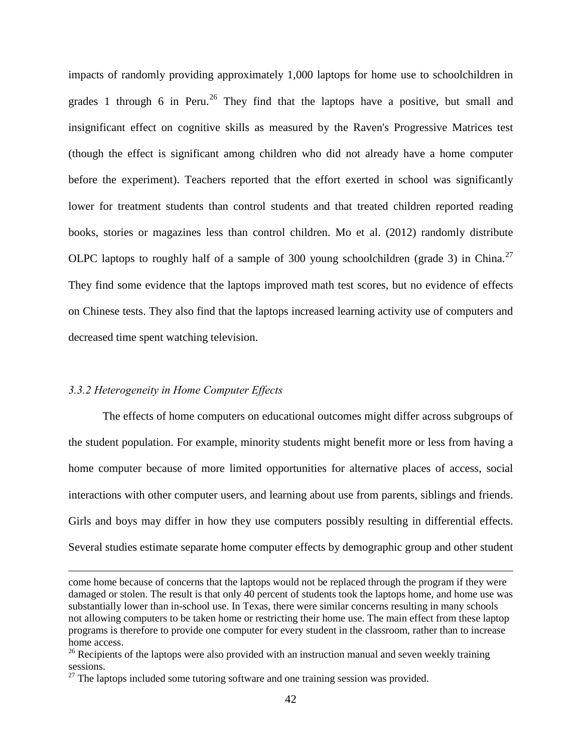impacts of randomly providing approximately 1,000 laptops for home use to schoolchildren in grades 1 through 6 in Peru.<sup>[26](#page-42-0)</sup> They find that the laptops have a positive, but small and insignificant effect on cognitive skills as measured by the Raven's Progressive Matrices test (though the effect is significant among children who did not already have a home computer before the experiment). Teachers reported that the effort exerted in school was significantly lower for treatment students than control students and that treated children reported reading books, stories or magazines less than control children. Mo et al. (2012) randomly distribute OLPC laptops to roughly half of a sample of 300 young schoolchildren (grade 3) in China.<sup>[27](#page-42-1)</sup> They find some evidence that the laptops improved math test scores, but no evidence of effects on Chinese tests. They also find that the laptops increased learning activity use of computers and decreased time spent watching television.

## *3.3.2 Heterogeneity in Home Computer Effects*

 $\overline{a}$ 

The effects of home computers on educational outcomes might differ across subgroups of the student population. For example, minority students might benefit more or less from having a home computer because of more limited opportunities for alternative places of access, social interactions with other computer users, and learning about use from parents, siblings and friends. Girls and boys may differ in how they use computers possibly resulting in differential effects. Several studies estimate separate home computer effects by demographic group and other student

come home because of concerns that the laptops would not be replaced through the program if they were damaged or stolen. The result is that only 40 percent of students took the laptops home, and home use was substantially lower than in-school use. In Texas, there were similar concerns resulting in many schools not allowing computers to be taken home or restricting their home use. The main effect from these laptop programs is therefore to provide one computer for every student in the classroom, rather than to increase home access.

<span id="page-42-0"></span> $26$  Recipients of the laptops were also provided with an instruction manual and seven weekly training sessions.

<span id="page-42-1"></span> $27$  The laptops included some tutoring software and one training session was provided.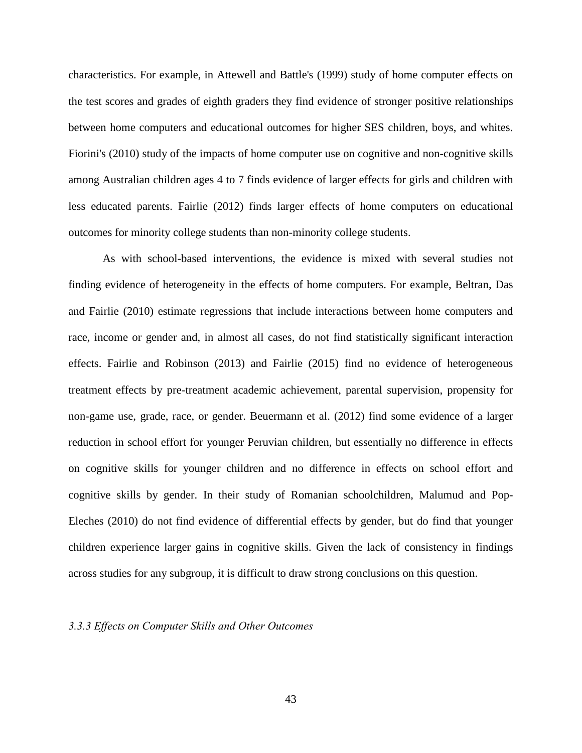characteristics. For example, in Attewell and Battle's (1999) study of home computer effects on the test scores and grades of eighth graders they find evidence of stronger positive relationships between home computers and educational outcomes for higher SES children, boys, and whites. Fiorini's (2010) study of the impacts of home computer use on cognitive and non-cognitive skills among Australian children ages 4 to 7 finds evidence of larger effects for girls and children with less educated parents. Fairlie (2012) finds larger effects of home computers on educational outcomes for minority college students than non-minority college students.

As with school-based interventions, the evidence is mixed with several studies not finding evidence of heterogeneity in the effects of home computers. For example, Beltran, Das and Fairlie (2010) estimate regressions that include interactions between home computers and race, income or gender and, in almost all cases, do not find statistically significant interaction effects. Fairlie and Robinson (2013) and Fairlie (2015) find no evidence of heterogeneous treatment effects by pre-treatment academic achievement, parental supervision, propensity for non-game use, grade, race, or gender. Beuermann et al. (2012) find some evidence of a larger reduction in school effort for younger Peruvian children, but essentially no difference in effects on cognitive skills for younger children and no difference in effects on school effort and cognitive skills by gender. In their study of Romanian schoolchildren, Malumud and Pop-Eleches (2010) do not find evidence of differential effects by gender, but do find that younger children experience larger gains in cognitive skills. Given the lack of consistency in findings across studies for any subgroup, it is difficult to draw strong conclusions on this question.

#### *3.3.3 Effects on Computer Skills and Other Outcomes*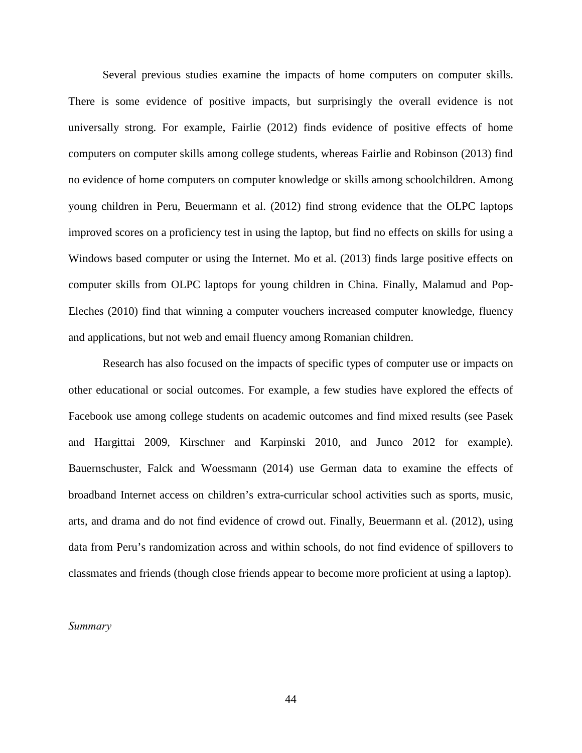Several previous studies examine the impacts of home computers on computer skills. There is some evidence of positive impacts, but surprisingly the overall evidence is not universally strong. For example, Fairlie (2012) finds evidence of positive effects of home computers on computer skills among college students, whereas Fairlie and Robinson (2013) find no evidence of home computers on computer knowledge or skills among schoolchildren. Among young children in Peru, Beuermann et al. (2012) find strong evidence that the OLPC laptops improved scores on a proficiency test in using the laptop, but find no effects on skills for using a Windows based computer or using the Internet. Mo et al. (2013) finds large positive effects on computer skills from OLPC laptops for young children in China. Finally, Malamud and Pop-Eleches (2010) find that winning a computer vouchers increased computer knowledge, fluency and applications, but not web and email fluency among Romanian children.

Research has also focused on the impacts of specific types of computer use or impacts on other educational or social outcomes. For example, a few studies have explored the effects of Facebook use among college students on academic outcomes and find mixed results (see Pasek and Hargittai 2009, Kirschner and Karpinski 2010, and Junco 2012 for example). Bauernschuster, Falck and Woessmann (2014) use German data to examine the effects of broadband Internet access on children's extra-curricular school activities such as sports, music, arts, and drama and do not find evidence of crowd out. Finally, Beuermann et al. (2012), using data from Peru's randomization across and within schools, do not find evidence of spillovers to classmates and friends (though close friends appear to become more proficient at using a laptop).

#### *Summary*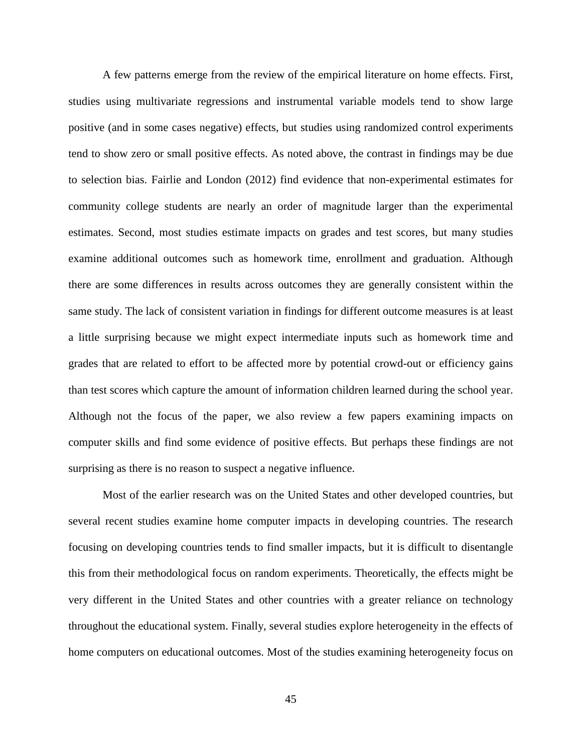A few patterns emerge from the review of the empirical literature on home effects. First, studies using multivariate regressions and instrumental variable models tend to show large positive (and in some cases negative) effects, but studies using randomized control experiments tend to show zero or small positive effects. As noted above, the contrast in findings may be due to selection bias. Fairlie and London (2012) find evidence that non-experimental estimates for community college students are nearly an order of magnitude larger than the experimental estimates. Second, most studies estimate impacts on grades and test scores, but many studies examine additional outcomes such as homework time, enrollment and graduation. Although there are some differences in results across outcomes they are generally consistent within the same study. The lack of consistent variation in findings for different outcome measures is at least a little surprising because we might expect intermediate inputs such as homework time and grades that are related to effort to be affected more by potential crowd-out or efficiency gains than test scores which capture the amount of information children learned during the school year. Although not the focus of the paper, we also review a few papers examining impacts on computer skills and find some evidence of positive effects. But perhaps these findings are not surprising as there is no reason to suspect a negative influence.

Most of the earlier research was on the United States and other developed countries, but several recent studies examine home computer impacts in developing countries. The research focusing on developing countries tends to find smaller impacts, but it is difficult to disentangle this from their methodological focus on random experiments. Theoretically, the effects might be very different in the United States and other countries with a greater reliance on technology throughout the educational system. Finally, several studies explore heterogeneity in the effects of home computers on educational outcomes. Most of the studies examining heterogeneity focus on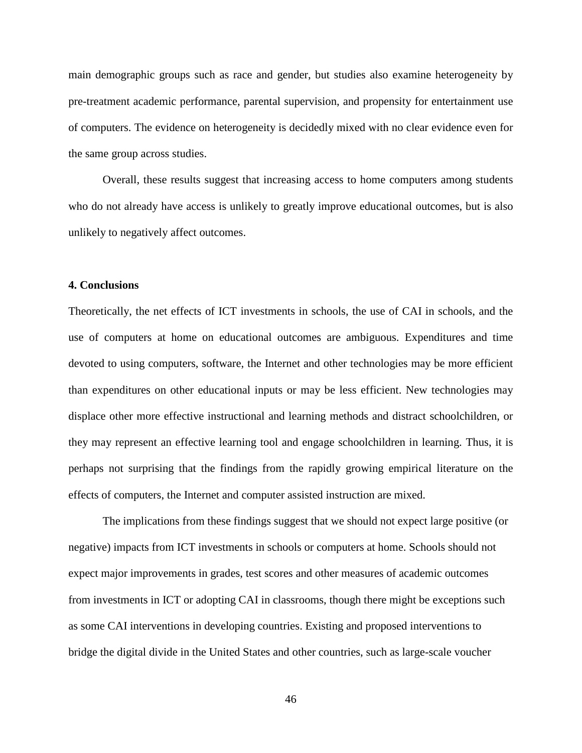main demographic groups such as race and gender, but studies also examine heterogeneity by pre-treatment academic performance, parental supervision, and propensity for entertainment use of computers. The evidence on heterogeneity is decidedly mixed with no clear evidence even for the same group across studies.

Overall, these results suggest that increasing access to home computers among students who do not already have access is unlikely to greatly improve educational outcomes, but is also unlikely to negatively affect outcomes.

## **4. Conclusions**

Theoretically, the net effects of ICT investments in schools, the use of CAI in schools, and the use of computers at home on educational outcomes are ambiguous. Expenditures and time devoted to using computers, software, the Internet and other technologies may be more efficient than expenditures on other educational inputs or may be less efficient. New technologies may displace other more effective instructional and learning methods and distract schoolchildren, or they may represent an effective learning tool and engage schoolchildren in learning. Thus, it is perhaps not surprising that the findings from the rapidly growing empirical literature on the effects of computers, the Internet and computer assisted instruction are mixed.

The implications from these findings suggest that we should not expect large positive (or negative) impacts from ICT investments in schools or computers at home. Schools should not expect major improvements in grades, test scores and other measures of academic outcomes from investments in ICT or adopting CAI in classrooms, though there might be exceptions such as some CAI interventions in developing countries. Existing and proposed interventions to bridge the digital divide in the United States and other countries, such as large-scale voucher

46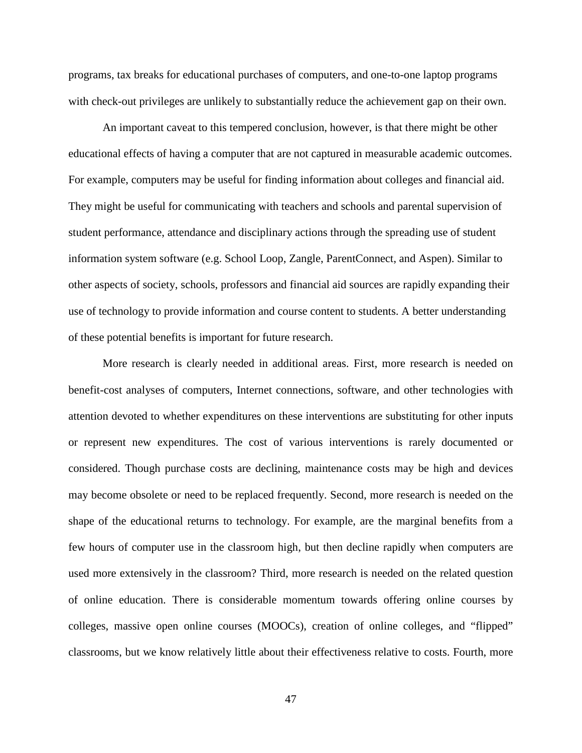programs, tax breaks for educational purchases of computers, and one-to-one laptop programs with check-out privileges are unlikely to substantially reduce the achievement gap on their own.

An important caveat to this tempered conclusion, however, is that there might be other educational effects of having a computer that are not captured in measurable academic outcomes. For example, computers may be useful for finding information about colleges and financial aid. They might be useful for communicating with teachers and schools and parental supervision of student performance, attendance and disciplinary actions through the spreading use of student information system software (e.g. School Loop, Zangle, ParentConnect, and Aspen). Similar to other aspects of society, schools, professors and financial aid sources are rapidly expanding their use of technology to provide information and course content to students. A better understanding of these potential benefits is important for future research.

More research is clearly needed in additional areas. First, more research is needed on benefit-cost analyses of computers, Internet connections, software, and other technologies with attention devoted to whether expenditures on these interventions are substituting for other inputs or represent new expenditures. The cost of various interventions is rarely documented or considered. Though purchase costs are declining, maintenance costs may be high and devices may become obsolete or need to be replaced frequently. Second, more research is needed on the shape of the educational returns to technology. For example, are the marginal benefits from a few hours of computer use in the classroom high, but then decline rapidly when computers are used more extensively in the classroom? Third, more research is needed on the related question of online education. There is considerable momentum towards offering online courses by colleges, massive open online courses (MOOCs), creation of online colleges, and "flipped" classrooms, but we know relatively little about their effectiveness relative to costs. Fourth, more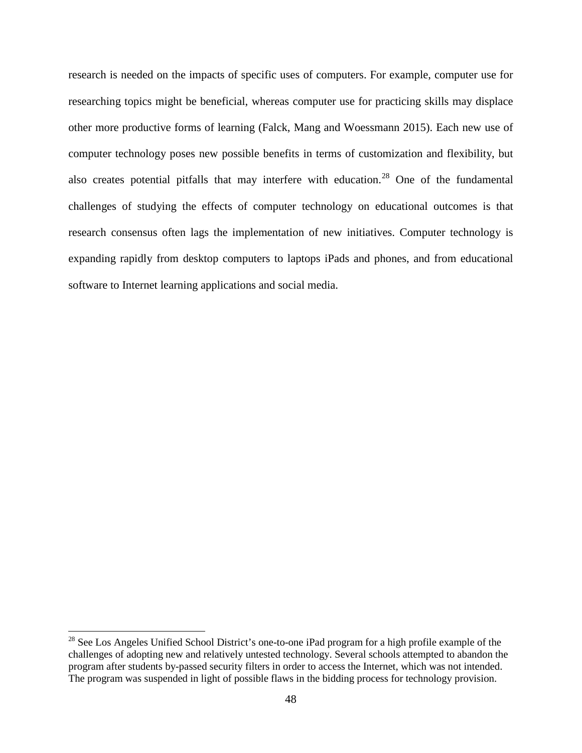research is needed on the impacts of specific uses of computers. For example, computer use for researching topics might be beneficial, whereas computer use for practicing skills may displace other more productive forms of learning (Falck, Mang and Woessmann 2015). Each new use of computer technology poses new possible benefits in terms of customization and flexibility, but also creates potential pitfalls that may interfere with education.<sup>[28](#page-48-0)</sup> One of the fundamental challenges of studying the effects of computer technology on educational outcomes is that research consensus often lags the implementation of new initiatives. Computer technology is expanding rapidly from desktop computers to laptops iPads and phones, and from educational software to Internet learning applications and social media.

l

<span id="page-48-0"></span><sup>&</sup>lt;sup>28</sup> See Los Angeles Unified School District's one-to-one iPad program for a high profile example of the challenges of adopting new and relatively untested technology. Several schools attempted to abandon the program after students by-passed security filters in order to access the Internet, which was not intended. The program was suspended in light of possible flaws in the bidding process for technology provision.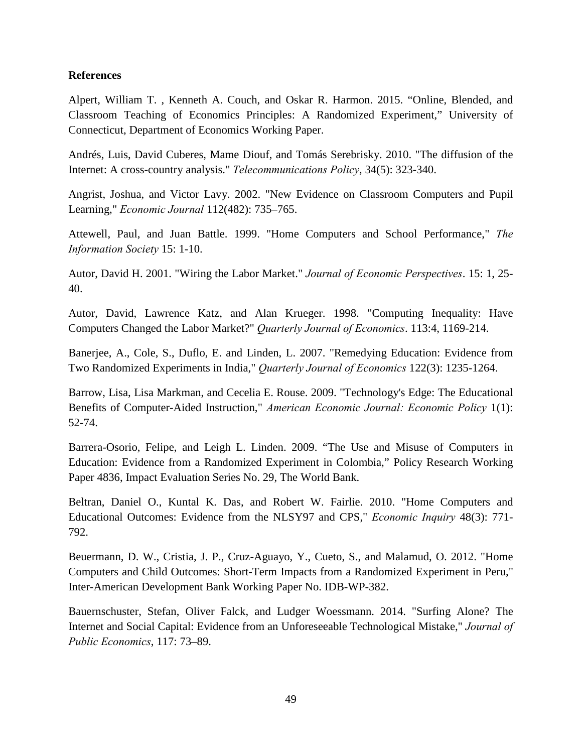# **References**

Alpert, William T. , Kenneth A. Couch, and Oskar R. Harmon. 2015. "Online, Blended, and Classroom Teaching of Economics Principles: A Randomized Experiment," University of Connecticut, Department of Economics Working Paper.

Andrés, Luis, David Cuberes, Mame Diouf, and Tomás Serebrisky. 2010. "The diffusion of the Internet: A cross-country analysis." *Telecommunications Policy*, 34(5): 323-340.

Angrist, Joshua, and Victor Lavy. 2002. "New Evidence on Classroom Computers and Pupil Learning," *Economic Journal* 112(482): 735–765.

Attewell, Paul, and Juan Battle. 1999. "Home Computers and School Performance," *The Information Society* 15: 1-10.

Autor, David H. 2001. "Wiring the Labor Market." *Journal of Economic Perspectives*. 15: 1, 25- 40.

Autor, David, Lawrence Katz, and Alan Krueger. 1998. "Computing Inequality: Have Computers Changed the Labor Market?" *Quarterly Journal of Economics*. 113:4, 1169-214.

Banerjee, A., Cole, S., Duflo, E. and Linden, L. 2007. "Remedying Education: Evidence from Two Randomized Experiments in India," *Quarterly Journal of Economics* 122(3): 1235-1264.

Barrow, Lisa, Lisa Markman, and Cecelia E. Rouse. 2009. "Technology's Edge: The Educational Benefits of Computer-Aided Instruction," *American Economic Journal: Economic Policy* 1(1): 52-74.

Barrera-Osorio, Felipe, and Leigh L. Linden. 2009. "The Use and Misuse of Computers in Education: Evidence from a Randomized Experiment in Colombia," Policy Research Working Paper 4836, Impact Evaluation Series No. 29, The World Bank.

Beltran, Daniel O., Kuntal K. Das, and Robert W. Fairlie. 2010. "Home Computers and Educational Outcomes: Evidence from the NLSY97 and CPS," *Economic Inquiry* 48(3): 771- 792.

Beuermann, D. W., Cristia, J. P., Cruz-Aguayo, Y., Cueto, S., and Malamud, O. 2012. "Home Computers and Child Outcomes: Short-Term Impacts from a Randomized Experiment in Peru," Inter-American Development Bank Working Paper No. IDB-WP-382.

Bauernschuster, Stefan, Oliver Falck, and Ludger Woessmann. 2014. "Surfing Alone? The Internet and Social Capital: Evidence from an Unforeseeable Technological Mistake," *Journal of Public Economics*, 117: 73–89.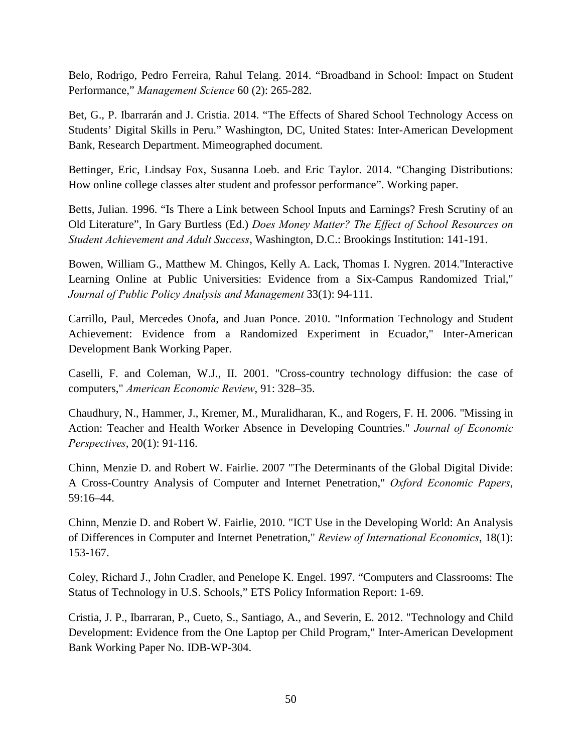Belo, Rodrigo, Pedro Ferreira, Rahul Telang. 2014. "Broadband in School: Impact on Student Performance," *Management Science* 60 (2): 265-282.

Bet, G., P. Ibarrarán and J. Cristia. 2014. "The Effects of Shared School Technology Access on Students' Digital Skills in Peru." Washington, DC, United States: Inter-American Development Bank, Research Department. Mimeographed document.

Bettinger, Eric, Lindsay Fox, Susanna Loeb. and Eric Taylor. 2014. "Changing Distributions: How online college classes alter student and professor performance". Working paper.

Betts, Julian. 1996. "Is There a Link between School Inputs and Earnings? Fresh Scrutiny of an Old Literature", In Gary Burtless (Ed.) *Does Money Matter? The Effect of School Resources on Student Achievement and Adult Success*, Washington, D.C.: Brookings Institution: 141-191.

Bowen, William G., Matthew M. Chingos, Kelly A. Lack, Thomas I. Nygren. 2014."Interactive Learning Online at Public Universities: Evidence from a Six-Campus Randomized Trial," *Journal of Public Policy Analysis and Management* 33(1): 94-111.

Carrillo, Paul, Mercedes Onofa, and Juan Ponce. 2010. "Information Technology and Student Achievement: Evidence from a Randomized Experiment in Ecuador," Inter-American Development Bank Working Paper.

Caselli, F. and Coleman, W.J., II. 2001. "Cross-country technology diffusion: the case of computers," *American Economic Review*, 91: 328–35.

Chaudhury, N., Hammer, J., Kremer, M., Muralidharan, K., and Rogers, F. H. 2006. "Missing in Action: Teacher and Health Worker Absence in Developing Countries." *Journal of Economic Perspectives*, 20(1): 91-116.

Chinn, Menzie D. and Robert W. Fairlie. 2007 "The Determinants of the Global Digital Divide: A Cross-Country Analysis of Computer and Internet Penetration," *Oxford Economic Papers*, 59:16–44.

Chinn, Menzie D. and Robert W. Fairlie, 2010. "ICT Use in the Developing World: An Analysis of Differences in Computer and Internet Penetration," *Review of International Economics*, 18(1): 153-167.

Coley, Richard J., John Cradler, and Penelope K. Engel. 1997. "Computers and Classrooms: The Status of Technology in U.S. Schools," ETS Policy Information Report: 1-69.

Cristia, J. P., Ibarraran, P., Cueto, S., Santiago, A., and Severin, E. 2012. "Technology and Child Development: Evidence from the One Laptop per Child Program," Inter-American Development Bank Working Paper No. IDB-WP-304.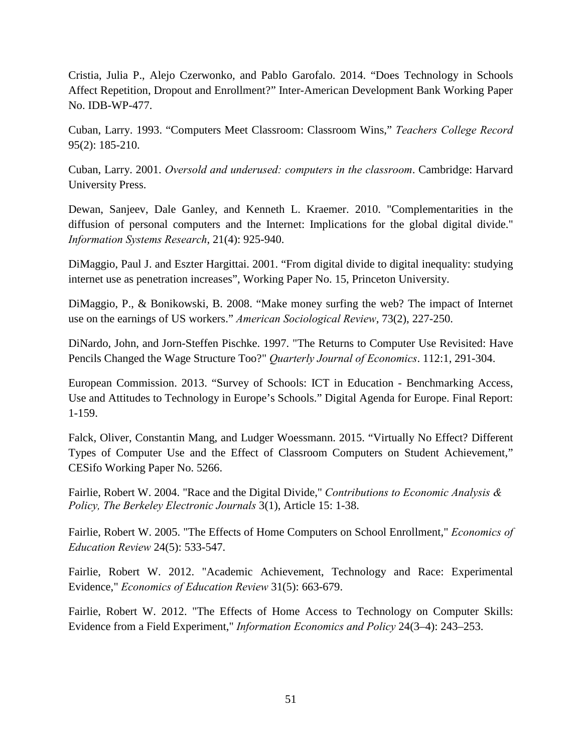Cristia, Julia P., Alejo Czerwonko, and Pablo Garofalo. 2014. "Does Technology in Schools Affect Repetition, Dropout and Enrollment?" Inter-American Development Bank Working Paper No. IDB-WP-477.

Cuban, Larry. 1993. "Computers Meet Classroom: Classroom Wins," *Teachers College Record* 95(2): 185-210.

Cuban, Larry. 2001. *Oversold and underused: computers in the classroom*. Cambridge: Harvard University Press.

Dewan, Sanjeev, Dale Ganley, and Kenneth L. Kraemer. 2010. "Complementarities in the diffusion of personal computers and the Internet: Implications for the global digital divide." *Information Systems Research*, 21(4): 925-940.

DiMaggio, Paul J. and Eszter Hargittai. 2001. "From digital divide to digital inequality: studying internet use as penetration increases", Working Paper No. 15, Princeton University.

DiMaggio, P., & Bonikowski, B. 2008. "Make money surfing the web? The impact of Internet use on the earnings of US workers." *American Sociological Review*, 73(2), 227-250.

DiNardo, John, and Jorn-Steffen Pischke. 1997. "The Returns to Computer Use Revisited: Have Pencils Changed the Wage Structure Too?" *Quarterly Journal of Economics*. 112:1, 291-304.

European Commission. 2013. "Survey of Schools: ICT in Education - Benchmarking Access, Use and Attitudes to Technology in Europe's Schools." Digital Agenda for Europe. Final Report: 1-159.

Falck, Oliver, Constantin Mang, and Ludger Woessmann. 2015. "Virtually No Effect? Different Types of Computer Use and the Effect of Classroom Computers on Student Achievement," CESifo Working Paper No. 5266.

Fairlie, Robert W. 2004. "Race and the Digital Divide," *Contributions to Economic Analysis & Policy, The Berkeley Electronic Journals* 3(1), Article 15: 1-38.

Fairlie, Robert W. 2005. "The Effects of Home Computers on School Enrollment," *Economics of Education Review* 24(5): 533-547.

Fairlie, Robert W. 2012. "Academic Achievement, Technology and Race: Experimental Evidence," *Economics of Education Review* 31(5): 663-679.

Fairlie, Robert W. 2012. "The Effects of Home Access to Technology on Computer Skills: Evidence from a Field Experiment," *Information Economics and Policy* 24(3–4): 243–253.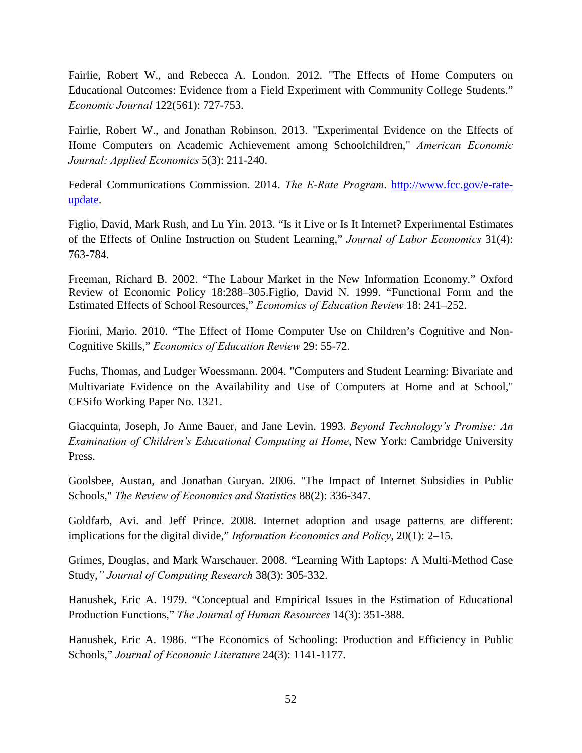Fairlie, Robert W., and Rebecca A. London. 2012. "The Effects of Home Computers on Educational Outcomes: Evidence from a Field Experiment with Community College Students." *Economic Journal* 122(561): 727-753.

Fairlie, Robert W., and Jonathan Robinson. 2013. "Experimental Evidence on the Effects of Home Computers on Academic Achievement among Schoolchildren," *American Economic Journal: Applied Economics* 5(3): 211-240.

Federal Communications Commission. 2014. *The E-Rate Program*. [http://www.fcc.gov/e-rate](http://www.fcc.gov/e-rate-update)[update.](http://www.fcc.gov/e-rate-update)

Figlio, David, Mark Rush, and Lu Yin. 2013. "Is it Live or Is It Internet? Experimental Estimates of the Effects of Online Instruction on Student Learning," *Journal of Labor Economics* 31(4): 763-784.

Freeman, Richard B. 2002. "The Labour Market in the New Information Economy." Oxford Review of Economic Policy 18:288–305.Figlio, David N. 1999. "Functional Form and the Estimated Effects of School Resources," *Economics of Education Review* 18: 241–252.

Fiorini, Mario. 2010. "The Effect of Home Computer Use on Children's Cognitive and Non-Cognitive Skills," *Economics of Education Review* 29: 55-72.

Fuchs, Thomas, and Ludger Woessmann. 2004. "Computers and Student Learning: Bivariate and Multivariate Evidence on the Availability and Use of Computers at Home and at School," CESifo Working Paper No. 1321.

Giacquinta, Joseph, Jo Anne Bauer, and Jane Levin. 1993. *Beyond Technology's Promise: An Examination of Children's Educational Computing at Home*, New York: Cambridge University Press.

Goolsbee, Austan, and Jonathan Guryan. 2006. "The Impact of Internet Subsidies in Public Schools," *The Review of Economics and Statistics* 88(2): 336-347.

Goldfarb, Avi. and Jeff Prince. 2008. Internet adoption and usage patterns are different: implications for the digital divide," *Information Economics and Policy*, 20(1): 2–15.

Grimes, Douglas, and Mark Warschauer. 2008. "Learning With Laptops: A Multi-Method Case Study,*" Journal of Computing Research* 38(3): 305-332.

Hanushek, Eric A. 1979. "Conceptual and Empirical Issues in the Estimation of Educational Production Functions," *The Journal of Human Resources* 14(3): 351-388.

Hanushek, Eric A. 1986. "The Economics of Schooling: Production and Efficiency in Public Schools," *Journal of Economic Literature* 24(3): 1141-1177.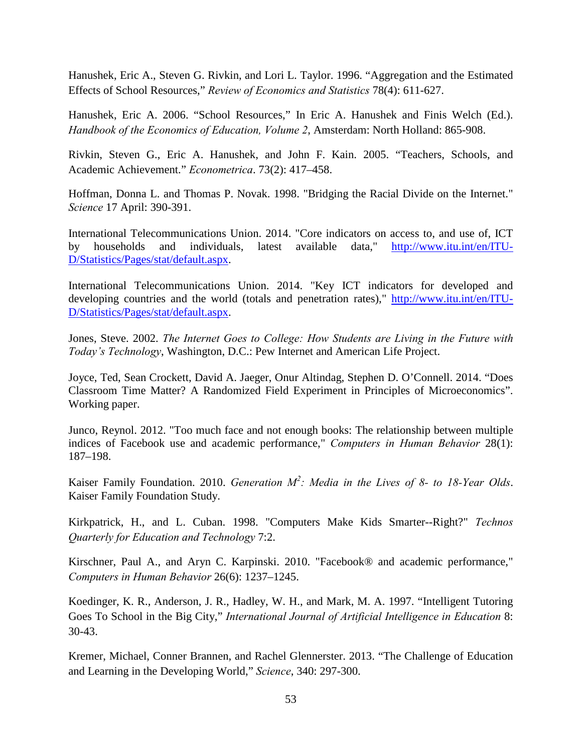Hanushek, Eric A., Steven G. Rivkin, and Lori L. Taylor. 1996. "Aggregation and the Estimated Effects of School Resources," *Review of Economics and Statistics* 78(4): 611-627.

Hanushek, Eric A. 2006. "School Resources," In Eric A. Hanushek and Finis Welch (Ed.). *Handbook of the Economics of Education, Volume 2*, Amsterdam: North Holland: 865-908.

Rivkin, Steven G., Eric A. Hanushek, and John F. Kain. 2005. "Teachers, Schools, and Academic Achievement." *Econometrica*. 73(2): 417–458.

Hoffman, Donna L. and Thomas P. Novak. 1998. "Bridging the Racial Divide on the Internet." *Science* 17 April: 390-391.

International Telecommunications Union. 2014. "Core indicators on access to, and use of, ICT by households and individuals, latest available data," [http://www.itu.int/en/ITU-](http://www.itu.int/en/ITU-D/Statistics/Pages/stat/default.aspx)[D/Statistics/Pages/stat/default.aspx.](http://www.itu.int/en/ITU-D/Statistics/Pages/stat/default.aspx)

International Telecommunications Union. 2014. "Key ICT indicators for developed and developing countries and the world (totals and penetration rates)," [http://www.itu.int/en/ITU-](http://www.itu.int/en/ITU-D/Statistics/Pages/stat/default.aspx)[D/Statistics/Pages/stat/default.aspx.](http://www.itu.int/en/ITU-D/Statistics/Pages/stat/default.aspx)

Jones, Steve. 2002. *The Internet Goes to College: How Students are Living in the Future with Today's Technology*, Washington, D.C.: Pew Internet and American Life Project.

Joyce, Ted, Sean Crockett, David A. Jaeger, Onur Altindag, Stephen D. O'Connell. 2014. "Does Classroom Time Matter? A Randomized Field Experiment in Principles of Microeconomics". Working paper.

Junco, Reynol. 2012. "Too much face and not enough books: The relationship between multiple indices of Facebook use and academic performance," *Computers in Human Behavior* 28(1): 187–198.

Kaiser Family Foundation. 2010. *Generation M<sup>2</sup> : Media in the Lives of 8- to 18-Year Olds*. Kaiser Family Foundation Study.

Kirkpatrick, H., and L. Cuban. 1998. "Computers Make Kids Smarter--Right?" *Technos Quarterly for Education and Technology* 7:2.

Kirschner, Paul A., and Aryn C. Karpinski. 2010. "Facebook® and academic performance," *Computers in Human Behavior* 26(6): 1237–1245.

Koedinger, K. R., Anderson, J. R., Hadley, W. H., and Mark, M. A. 1997. "Intelligent Tutoring Goes To School in the Big City," *International Journal of Artificial Intelligence in Education* 8: 30-43.

Kremer, Michael, Conner Brannen, and Rachel Glennerster. 2013. "The Challenge of Education and Learning in the Developing World," *Science*, 340: 297-300.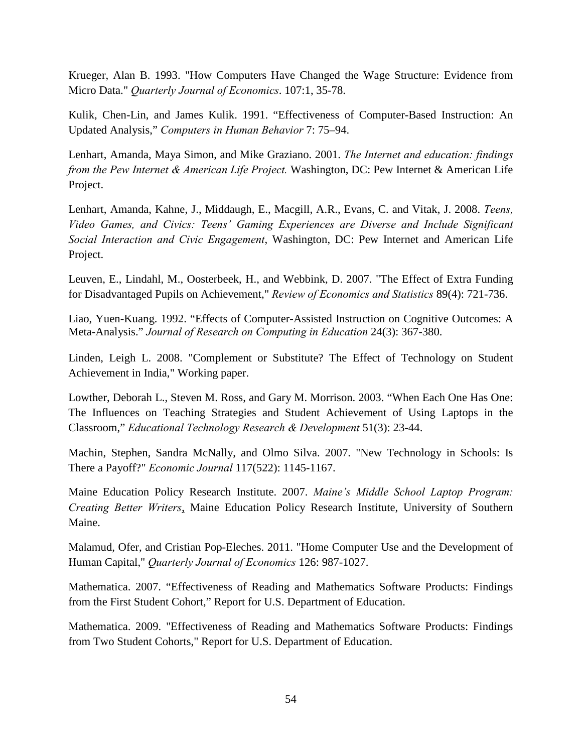Krueger, Alan B. 1993. "How Computers Have Changed the Wage Structure: Evidence from Micro Data." *Quarterly Journal of Economics*. 107:1, 35-78.

Kulik, Chen-Lin, and James Kulik. 1991. "Effectiveness of Computer-Based Instruction: An Updated Analysis," *Computers in Human Behavior* 7: 75–94.

Lenhart, Amanda, Maya Simon, and Mike Graziano. 2001. *The Internet and education: findings from the Pew Internet & American Life Project.* Washington, DC: Pew Internet & American Life Project.

Lenhart, Amanda, Kahne, J., Middaugh, E., Macgill, A.R., Evans, C. and Vitak, J. 2008. *Teens, Video Games, and Civics: Teens' Gaming Experiences are Diverse and Include Significant Social Interaction and Civic Engagement*, Washington, DC: Pew Internet and American Life Project.

Leuven, E., Lindahl, M., Oosterbeek, H., and Webbink, D. 2007. "The Effect of Extra Funding for Disadvantaged Pupils on Achievement," *Review of Economics and Statistics* 89(4): 721-736.

Liao, Yuen-Kuang. 1992. "Effects of Computer-Assisted Instruction on Cognitive Outcomes: A Meta-Analysis." *Journal of Research on Computing in Education* 24(3): 367-380.

Linden, Leigh L. 2008. "Complement or Substitute? The Effect of Technology on Student Achievement in India," Working paper.

Lowther, Deborah L., Steven M. Ross, and Gary M. Morrison. 2003. "When Each One Has One: The Influences on Teaching Strategies and Student Achievement of Using Laptops in the Classroom," *Educational Technology Research & Development* 51(3): 23-44.

Machin, Stephen, Sandra McNally, and Olmo Silva. 2007. "New Technology in Schools: Is There a Payoff?" *Economic Journal* 117(522): 1145-1167.

Maine Education Policy Research Institute. 2007. *Maine's Middle School Laptop Program: Creating Better Writers*, Maine Education Policy Research Institute, University of Southern Maine.

Malamud, Ofer, and Cristian Pop-Eleches. 2011. "Home Computer Use and the Development of Human Capital," *Quarterly Journal of Economics* 126: 987-1027.

Mathematica. 2007. "Effectiveness of Reading and Mathematics Software Products: Findings from the First Student Cohort," Report for U.S. Department of Education.

Mathematica. 2009. "Effectiveness of Reading and Mathematics Software Products: Findings from Two Student Cohorts," Report for U.S. Department of Education.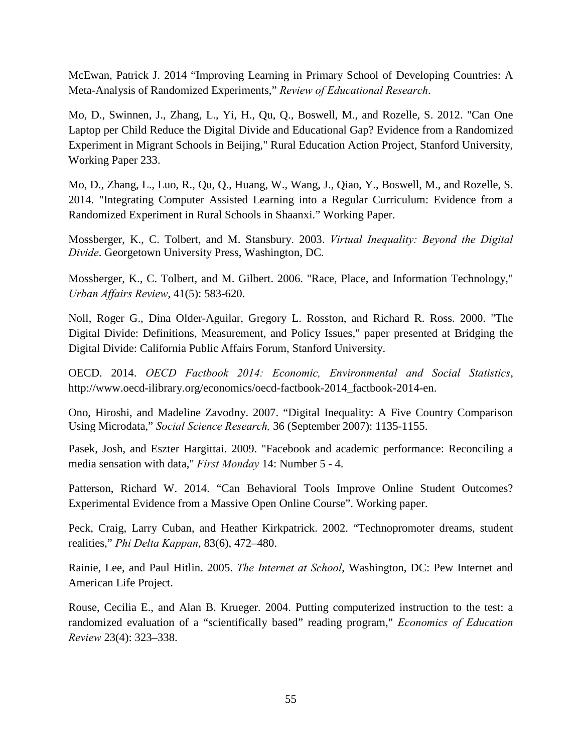McEwan, Patrick J. 2014 "Improving Learning in Primary School of Developing Countries: A Meta-Analysis of Randomized Experiments," *Review of Educational Research*.

Mo, D., Swinnen, J., Zhang, L., Yi, H., Qu, Q., Boswell, M., and Rozelle, S. 2012. "Can One Laptop per Child Reduce the Digital Divide and Educational Gap? Evidence from a Randomized Experiment in Migrant Schools in Beijing," Rural Education Action Project, Stanford University, Working Paper 233.

Mo, D., Zhang, L., Luo, R., Qu, Q., Huang, W., Wang, J., Qiao, Y., Boswell, M., and Rozelle, S. 2014. "Integrating Computer Assisted Learning into a Regular Curriculum: Evidence from a Randomized Experiment in Rural Schools in Shaanxi." Working Paper.

Mossberger, K., C. Tolbert, and M. Stansbury. 2003. *Virtual Inequality: Beyond the Digital Divide*. Georgetown University Press, Washington, DC.

Mossberger, K., C. Tolbert, and M. Gilbert. 2006. "Race, Place, and Information Technology," *Urban Affairs Review*, 41(5): 583-620.

Noll, Roger G., Dina Older-Aguilar, Gregory L. Rosston, and Richard R. Ross. 2000. "The Digital Divide: Definitions, Measurement, and Policy Issues," paper presented at Bridging the Digital Divide: California Public Affairs Forum, Stanford University.

OECD. 2014. *OECD Factbook 2014: Economic, Environmental and Social Statistics*, http://www.oecd-ilibrary.org/economics/oecd-factbook-2014 factbook-2014-en.

Ono, Hiroshi, and Madeline Zavodny. 2007. "Digital Inequality: A Five Country Comparison Using Microdata," *Social Science Research,* 36 (September 2007): 1135-1155.

Pasek, Josh, and Eszter Hargittai. 2009. "Facebook and academic performance: Reconciling a media sensation with data," *First Monday* 14: Number 5 - 4.

Patterson, Richard W. 2014. "Can Behavioral Tools Improve Online Student Outcomes? Experimental Evidence from a Massive Open Online Course". Working paper.

Peck, Craig, Larry Cuban, and Heather Kirkpatrick. 2002. "Technopromoter dreams, student realities," *Phi Delta Kappan*, 83(6), 472–480.

Rainie, Lee, and Paul Hitlin. 2005. *The Internet at School*, Washington, DC: Pew Internet and American Life Project.

Rouse, Cecilia E., and Alan B. Krueger. 2004. Putting computerized instruction to the test: a randomized evaluation of a "scientifically based" reading program," *Economics of Education Review* 23(4): 323–338.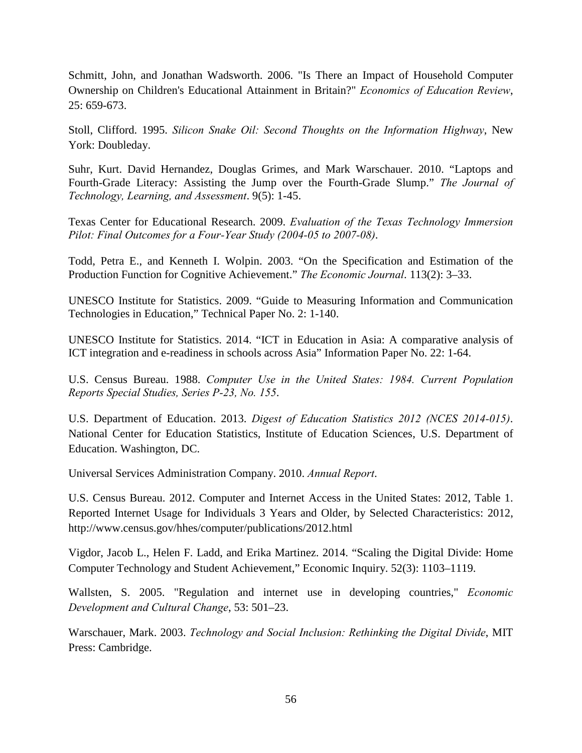Schmitt, John, and Jonathan Wadsworth. 2006. "Is There an Impact of Household Computer Ownership on Children's Educational Attainment in Britain?" *Economics of Education Review*, 25: 659-673.

Stoll, Clifford. 1995. *Silicon Snake Oil: Second Thoughts on the Information Highway*, New York: Doubleday.

Suhr, Kurt. David Hernandez, Douglas Grimes, and Mark Warschauer. 2010. "Laptops and Fourth-Grade Literacy: Assisting the Jump over the Fourth-Grade Slump." *The Journal of Technology, Learning, and Assessment*. 9(5): 1-45.

Texas Center for Educational Research. 2009. *Evaluation of the Texas Technology Immersion Pilot: Final Outcomes for a Four-Year Study (2004-05 to 2007-08)*.

Todd, Petra E., and Kenneth I. Wolpin. 2003. "On the Specification and Estimation of the Production Function for Cognitive Achievement." *The Economic Journal*. 113(2): 3–33.

UNESCO Institute for Statistics. 2009. "Guide to Measuring Information and Communication Technologies in Education," Technical Paper No. 2: 1-140.

UNESCO Institute for Statistics. 2014. "ICT in Education in Asia: A comparative analysis of ICT integration and e-readiness in schools across Asia" Information Paper No. 22: 1-64.

U.S. Census Bureau. 1988. *Computer Use in the United States: 1984. Current Population Reports Special Studies, Series P-23, No. 155*.

U.S. Department of Education. 2013. *Digest of Education Statistics 2012 (NCES 2014-015)*. National Center for Education Statistics, Institute of Education Sciences, U.S. Department of Education. Washington, DC.

Universal Services Administration Company. 2010. *Annual Report*.

U.S. Census Bureau. 2012. Computer and Internet Access in the United States: 2012, Table 1. Reported Internet Usage for Individuals 3 Years and Older, by Selected Characteristics: 2012, http://www.census.gov/hhes/computer/publications/2012.html

Vigdor, Jacob L., Helen F. Ladd, and Erika Martinez. 2014. "Scaling the Digital Divide: Home Computer Technology and Student Achievement," Economic Inquiry. 52(3): 1103–1119.

Wallsten, S. 2005. "Regulation and internet use in developing countries," *Economic Development and Cultural Change*, 53: 501–23.

Warschauer, Mark. 2003. *Technology and Social Inclusion: Rethinking the Digital Divide*, MIT Press: Cambridge.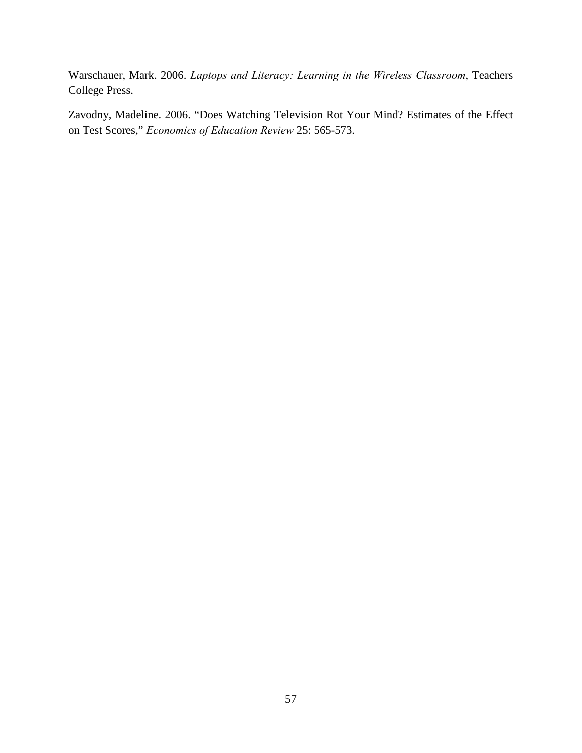Warschauer, Mark. 2006. *Laptops and Literacy: Learning in the Wireless Classroom*, Teachers College Press.

Zavodny, Madeline. 2006. "Does Watching Television Rot Your Mind? Estimates of the Effect on Test Scores," *Economics of Education Review* 25: 565-573.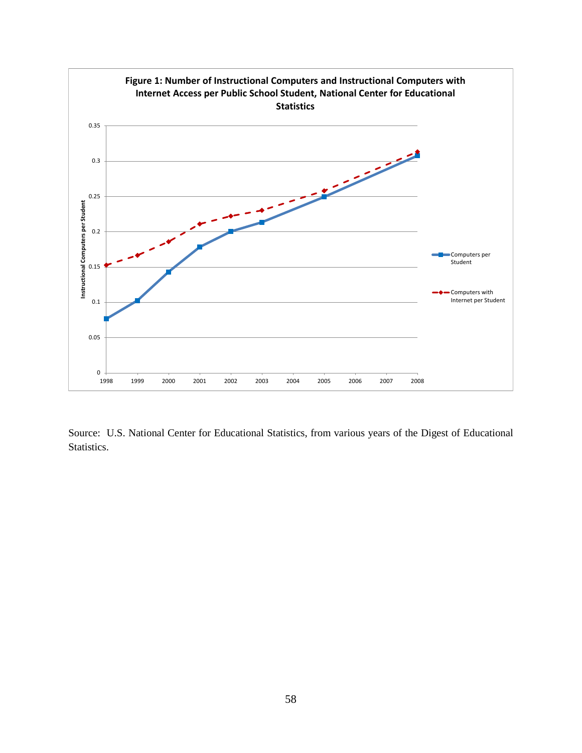

Source: U.S. National Center for Educational Statistics, from various years of the Digest of Educational Statistics.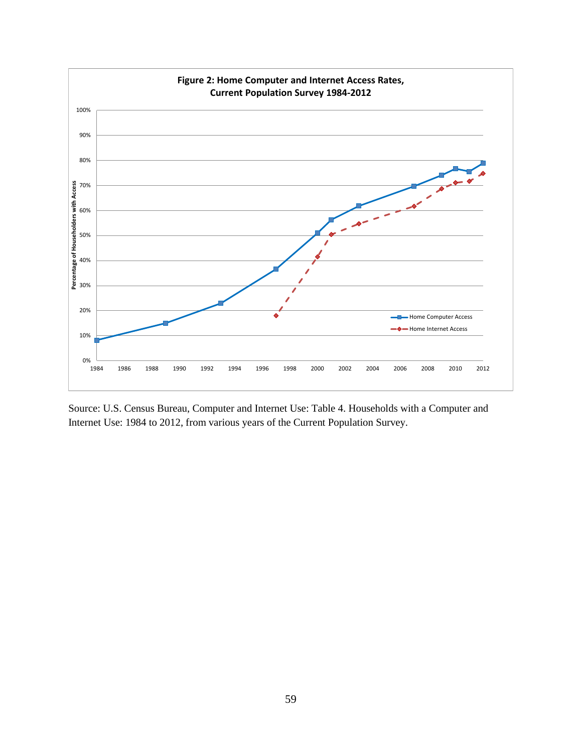

Source: U.S. Census Bureau, Computer and Internet Use: Table 4. Households with a Computer and Internet Use: 1984 to 2012, from various years of the Current Population Survey.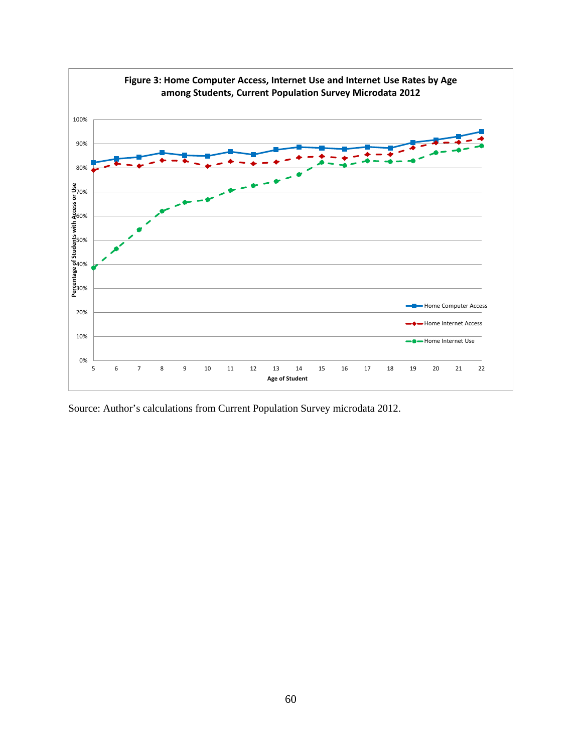

Source: Author's calculations from Current Population Survey microdata 2012.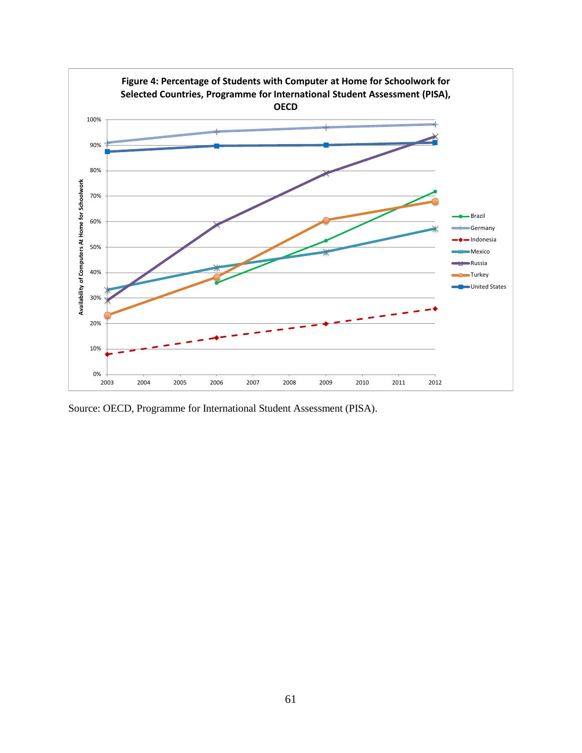

Source: OECD, Programme for International Student Assessment (PISA).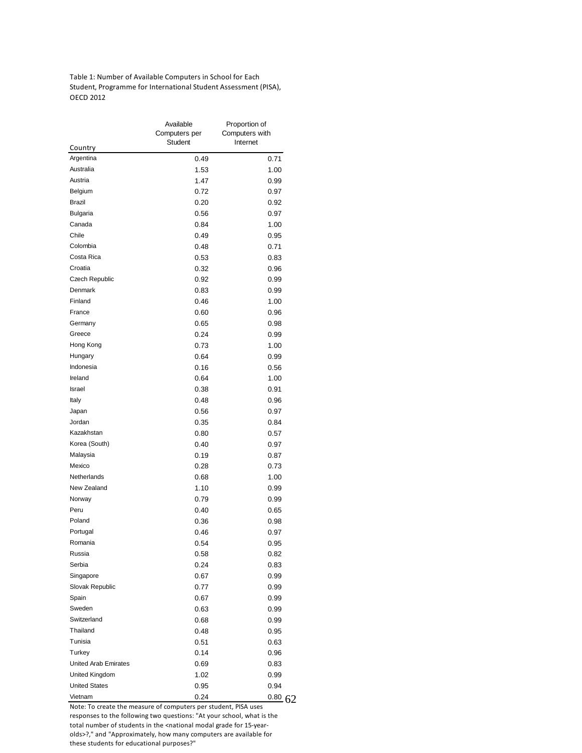Table 1: Number of Available Computers in School for Each Student, Programme for International Student Assessment (PISA), OECD 2012

|                             | Available     | Proportion of  |
|-----------------------------|---------------|----------------|
|                             | Computers per | Computers with |
| Country                     | Student       | Internet       |
| Argentina                   | 0.49          | 0.71           |
| Australia                   | 1.53          | 1.00           |
| Austria                     | 1.47          | 0.99           |
| Belgium                     | 0.72          | 0.97           |
| Brazil                      | 0.20          | 0.92           |
| <b>Bulgaria</b>             | 0.56          | 0.97           |
| Canada                      | 0.84          | 1.00           |
| Chile                       | 0.49          | 0.95           |
| Colombia                    | 0.48          | 0.71           |
| Costa Rica                  | 0.53          | 0.83           |
| Croatia                     | 0.32          | 0.96           |
| <b>Czech Republic</b>       | 0.92          | 0.99           |
| Denmark                     | 0.83          | 0.99           |
| Finland                     | 0.46          | 1.00           |
| France                      | 0.60          | 0.96           |
| Germany                     | 0.65          | 0.98           |
| Greece                      | 0.24          | 0.99           |
| Hong Kong                   | 0.73          | 1.00           |
| Hungary                     | 0.64          | 0.99           |
| Indonesia                   | 0.16          | 0.56           |
| Ireland                     | 0.64          | 1.00           |
| Israel                      | 0.38          | 0.91           |
| Italy                       | 0.48          | 0.96           |
| Japan                       | 0.56          | 0.97           |
| Jordan                      | 0.35          | 0.84           |
| Kazakhstan                  | 0.80          | 0.57           |
| Korea (South)               | 0.40          | 0.97           |
| Malaysia                    | 0.19          | 0.87           |
| Mexico                      | 0.28          | 0.73           |
| Netherlands                 | 0.68          | 1.00           |
| New Zealand                 | 1.10          | 0.99           |
| Norway                      | 0.79          | 0.99           |
| Peru                        | 0.40          | 0.65           |
| Poland                      | 0.36          | 0.98           |
| Portugal                    | 0.46          | 0.97           |
| Romania                     | 0.54          | 0.95           |
| Russia                      | 0.58          | 0.82           |
| Serbia                      | 0.24          | 0.83           |
| Singapore                   | 0.67          | 0.99           |
| Slovak Republic             | 0.77          | 0.99           |
| Spain                       | 0.67          | 0.99           |
| Sweden                      | 0.63          | 0.99           |
| Switzerland                 | 0.68          | 0.99           |
| Thailand                    | 0.48          | 0.95           |
| Tunisia                     | 0.51          | 0.63           |
| Turkey                      | 0.14          | 0.96           |
| <b>United Arab Emirates</b> | 0.69          | 0.83           |
| United Kingdom              | 1.02          | 0.99           |
| <b>United States</b>        | 0.95          | 0.94           |
| Vietnam                     | 0.24          | 0.80           |
|                             |               | 62             |

Note: To create the measure of computers per student, PISA uses responses to the following two questions: "At your school, what is the total number of students in the <national modal grade for 15-yearolds>?," and "Approximately, how many computers are available for these students for educational purposes?"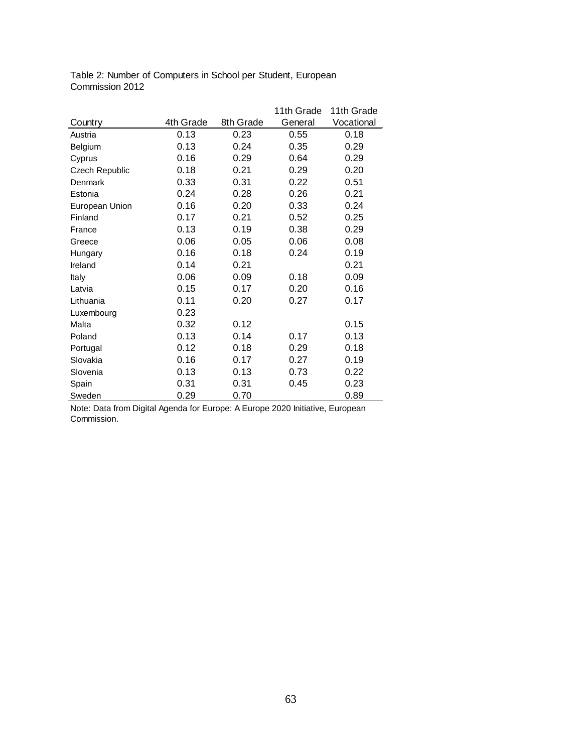| Table 2: Number of Computers in School per Student, European |  |  |
|--------------------------------------------------------------|--|--|
| Commission 2012                                              |  |  |

|                |           |           | 11th Grade | 11th Grade |
|----------------|-----------|-----------|------------|------------|
| Country        | 4th Grade | 8th Grade | General    | Vocational |
| Austria        | 0.13      | 0.23      | 0.55       | 0.18       |
| Belgium        | 0.13      | 0.24      | 0.35       | 0.29       |
| Cyprus         | 0.16      | 0.29      | 0.64       | 0.29       |
| Czech Republic | 0.18      | 0.21      | 0.29       | 0.20       |
| Denmark        | 0.33      | 0.31      | 0.22       | 0.51       |
| Estonia        | 0.24      | 0.28      | 0.26       | 0.21       |
| European Union | 0.16      | 0.20      | 0.33       | 0.24       |
| Finland        | 0.17      | 0.21      | 0.52       | 0.25       |
| France         | 0.13      | 0.19      | 0.38       | 0.29       |
| Greece         | 0.06      | 0.05      | 0.06       | 0.08       |
| Hungary        | 0.16      | 0.18      | 0.24       | 0.19       |
| Ireland        | 0.14      | 0.21      |            | 0.21       |
| Italy          | 0.06      | 0.09      | 0.18       | 0.09       |
| Latvia         | 0.15      | 0.17      | 0.20       | 0.16       |
| Lithuania      | 0.11      | 0.20      | 0.27       | 0.17       |
| Luxembourg     | 0.23      |           |            |            |
| Malta          | 0.32      | 0.12      |            | 0.15       |
| Poland         | 0.13      | 0.14      | 0.17       | 0.13       |
| Portugal       | 0.12      | 0.18      | 0.29       | 0.18       |
| Slovakia       | 0.16      | 0.17      | 0.27       | 0.19       |
| Slovenia       | 0.13      | 0.13      | 0.73       | 0.22       |
| Spain          | 0.31      | 0.31      | 0.45       | 0.23       |
| Sweden         | 0.29      | 0.70      |            | 0.89       |

Note: Data from Digital Agenda for Europe: A Europe 2020 Initiative, European Commission.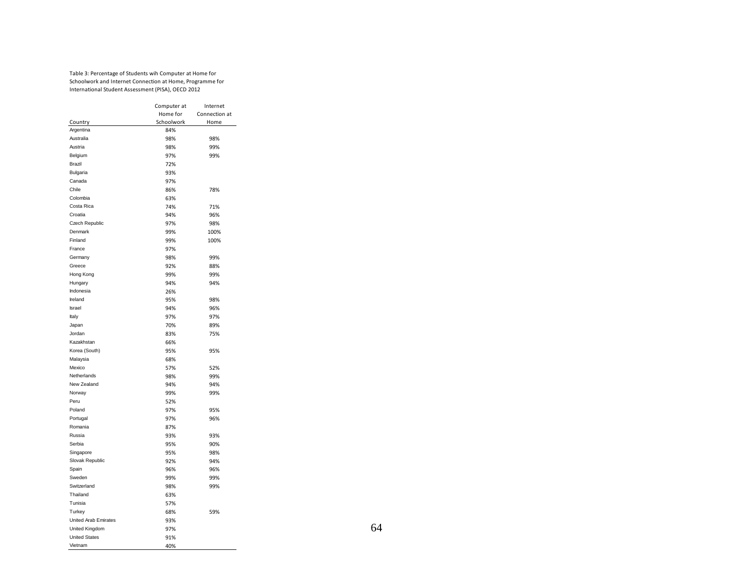Table 3: Percentage of Students wih Computer at Home for Schoolwork and Internet Connection at Home, Programme for International Student Assessment (PISA), OECD 2012

|                      | Computer at<br>Internet   |      |
|----------------------|---------------------------|------|
|                      | Home for<br>Connection at |      |
| Country              | Schoolwork                | Home |
| Argentina            | 84%                       |      |
| Australia            | 98%                       | 98%  |
| Austria              | 98%                       | 99%  |
| Belgium              | 97%                       | 99%  |
| Brazil               | 72%                       |      |
| Bulgaria             | 93%                       |      |
| Canada               | 97%                       |      |
| Chile                | 86%                       | 78%  |
| Colombia             | 63%                       |      |
| Costa Rica           | 74%                       | 71%  |
| Croatia              | 94%                       | 96%  |
| Czech Republic       | 97%                       | 98%  |
| Denmark              | 99%                       | 100% |
| Finland              | 99%                       | 100% |
| France               | 97%                       |      |
| Germany              | 98%                       | 99%  |
| Greece               | 92%                       | 88%  |
| Hong Kong            | 99%                       | 99%  |
| Hungary              | 94%                       | 94%  |
| Indonesia            | 26%                       |      |
| Ireland              | 95%                       | 98%  |
| Israel               | 94%                       | 96%  |
| Italy                | 97%                       | 97%  |
| Japan                | 70%                       | 89%  |
| Jordan               | 83%                       | 75%  |
| Kazakhstan           | 66%                       |      |
| Korea (South)        | 95%                       | 95%  |
| Malaysia             | 68%                       |      |
| Mexico               | 57%                       | 52%  |
| Netherlands          | 98%                       | 99%  |
| New Zealand          | 94%                       | 94%  |
| Norway               | 99%                       | 99%  |
| Peru                 | 52%                       |      |
| Poland               | 97%                       | 95%  |
| Portugal             | 97%                       | 96%  |
| Romania              | 87%                       |      |
| Russia               | 93%                       | 93%  |
| Serbia               | 95%                       | 90%  |
| Singapore            | 95%                       | 98%  |
| Slovak Republic      | 92%                       | 94%  |
| Spain                | 96%                       | 96%  |
| Sweden               | 99%                       | 99%  |
| Switzerland          |                           |      |
| Thailand             | 98%                       | 99%  |
| Tunisia              | 63%                       |      |
|                      | 57%                       |      |
| Turkey               | 68%                       | 59%  |
| United Arab Emirates | 93%                       |      |
| United Kingdom       | 97%                       |      |
| <b>United States</b> | 91%                       |      |
| Vietnam              | 40%                       |      |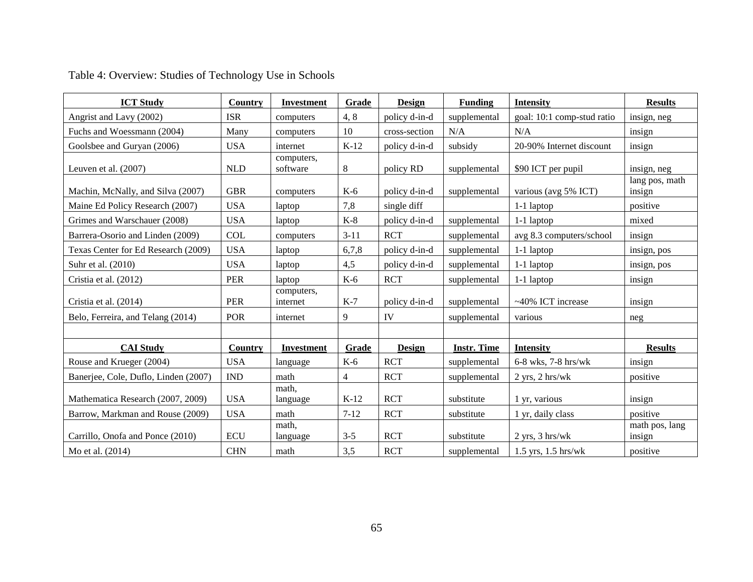| <b>ICT Study</b>                     | Country    | <b>Investment</b>      | Grade          | <b>Design</b> | <b>Funding</b>     | <b>Intensity</b>           | <b>Results</b>           |
|--------------------------------------|------------|------------------------|----------------|---------------|--------------------|----------------------------|--------------------------|
| Angrist and Lavy (2002)              | <b>ISR</b> | computers              | 4, 8           | policy d-in-d | supplemental       | goal: 10:1 comp-stud ratio | insign, neg              |
| Fuchs and Woessmann (2004)           | Many       | computers              | 10             | cross-section | N/A                | N/A                        | insign                   |
| Goolsbee and Guryan (2006)           | <b>USA</b> | internet               | $K-12$         | policy d-in-d | subsidy            | 20-90% Internet discount   | insign                   |
| Leuven et al. $(2007)$               | <b>NLD</b> | computers,<br>software | 8              | policy RD     | supplemental       | \$90 ICT per pupil         | insign, neg              |
| Machin, McNally, and Silva (2007)    | <b>GBR</b> | computers              | $K-6$          | policy d-in-d | supplemental       | various (avg 5% ICT)       | lang pos, math<br>insign |
| Maine Ed Policy Research (2007)      | <b>USA</b> | laptop                 | 7,8            | single diff   |                    | $1-1$ laptop               | positive                 |
| Grimes and Warschauer (2008)         | <b>USA</b> | laptop                 | $K-8$          | policy d-in-d | supplemental       | $1-1$ laptop               | mixed                    |
| Barrera-Osorio and Linden (2009)     | <b>COL</b> | computers              | $3 - 11$       | <b>RCT</b>    | supplemental       | avg 8.3 computers/school   | insign                   |
| Texas Center for Ed Research (2009)  | <b>USA</b> | laptop                 | 6,7,8          | policy d-in-d | supplemental       | $1-1$ laptop               | insign, pos              |
| Suhr et al. (2010)                   | <b>USA</b> | laptop                 | 4,5            | policy d-in-d | supplemental       | 1-1 laptop                 | insign, pos              |
| Cristia et al. (2012)                | <b>PER</b> | laptop                 | $K-6$          | <b>RCT</b>    | supplemental       | $1-1$ laptop               | insign                   |
| Cristia et al. (2014)                | <b>PER</b> | computers,<br>internet | $K-7$          | policy d-in-d | supplemental       | ~40% ICT increase          | insign                   |
| Belo, Ferreira, and Telang (2014)    | POR        | internet               | 9              | IV            | supplemental       | various                    | neg                      |
|                                      |            |                        |                |               |                    |                            |                          |
| <b>CAI Study</b>                     | Country    | <b>Investment</b>      | Grade          | <b>Design</b> | <b>Instr. Time</b> | <b>Intensity</b>           | <b>Results</b>           |
| Rouse and Krueger (2004)             | <b>USA</b> | language               | $K-6$          | <b>RCT</b>    | supplemental       | 6-8 wks, 7-8 hrs/wk        | insign                   |
| Banerjee, Cole, Duflo, Linden (2007) | <b>IND</b> | math                   | $\overline{4}$ | <b>RCT</b>    | supplemental       | $2$ yrs, $2$ hrs/wk        | positive                 |
| Mathematica Research (2007, 2009)    | <b>USA</b> | math,<br>language      | $K-12$         | <b>RCT</b>    | substitute         | 1 yr, various              | insign                   |
| Barrow, Markman and Rouse (2009)     | <b>USA</b> | math                   | $7 - 12$       | <b>RCT</b>    | substitute         | 1 yr, daily class          | positive                 |
| Carrillo, Onofa and Ponce (2010)     | <b>ECU</b> | math,<br>language      | $3 - 5$        | <b>RCT</b>    | substitute         | $2$ yrs, $3$ hrs/wk        | math pos, lang<br>insign |
| Mo et al. (2014)                     | <b>CHN</b> | math                   | 3,5            | <b>RCT</b>    | supplemental       | $1.5$ yrs, $1.5$ hrs/wk    | positive                 |

Table 4: Overview: Studies of Technology Use in Schools